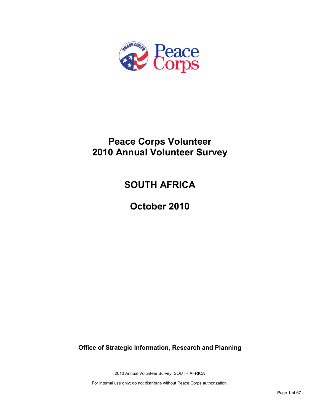

# **Peace Corps Volunteer 2010 Annual Volunteer Survey**

# **SOUTH AFRICA**

**October 2010**

**Office of Strategic Information, Research and Planning**

2010 Annual Volunteer Survey: SOUTH AFRICA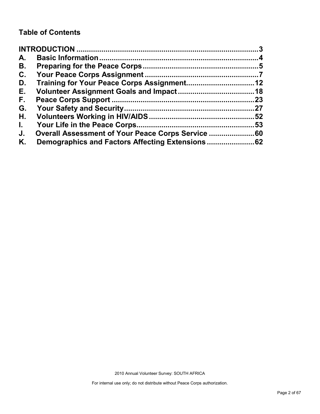## **Table of Contents**

| A.           |                                                    |    |
|--------------|----------------------------------------------------|----|
| В.           |                                                    |    |
| C.           |                                                    |    |
| D.           |                                                    |    |
| Е.           |                                                    |    |
| F.           |                                                    | 23 |
| G.           |                                                    |    |
| Η.           |                                                    |    |
| $\mathbf{L}$ |                                                    | 53 |
| J.           | Overall Assessment of Your Peace Corps Service  60 |    |
| Κ.           |                                                    |    |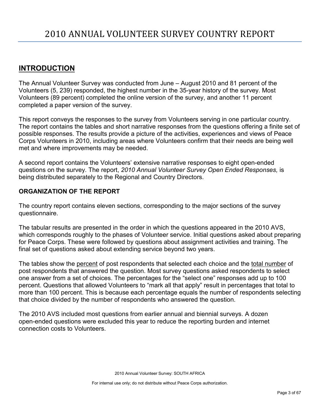## <span id="page-2-0"></span>**INTRODUCTION**

The Annual Volunteer Survey was conducted from June – August 2010 and 81 percent of the Volunteers (5, 239) responded, the highest number in the 35-year history of the survey. Most Volunteers (89 percent) completed the online version of the survey, and another 11 percent completed a paper version of the survey.

This report conveys the responses to the survey from Volunteers serving in one particular country. The report contains the tables and short narrative responses from the questions offering a finite set of possible responses. The results provide a picture of the activities, experiences and views of Peace Corps Volunteers in 2010, including areas where Volunteers confirm that their needs are being well met and where improvements may be needed.

A second report contains the Volunteers' extensive narrative responses to eight open-ended questions on the survey. The report, *2010 Annual Volunteer Survey Open Ended Responses,* is being distributed separately to the Regional and Country Directors.

## **ORGANIZATION OF THE REPORT**

The country report contains eleven sections, corresponding to the major sections of the survey questionnaire.

The tabular results are presented in the order in which the questions appeared in the 2010 AVS, which corresponds roughly to the phases of Volunteer service. Initial questions asked about preparing for Peace Corps. These were followed by questions about assignment activities and training. The final set of questions asked about extending service beyond two years.

The tables show the percent of post respondents that selected each choice and the total number of post respondents that answered the question. Most survey questions asked respondents to select one answer from a set of choices. The percentages for the "select one" responses add up to 100 percent. Questions that allowed Volunteers to "mark all that apply" result in percentages that total to more than 100 percent. This is because each percentage equals the number of respondents selecting that choice divided by the number of respondents who answered the question.

The 2010 AVS included most questions from earlier annual and biennial surveys. A dozen open-ended questions were excluded this year to reduce the reporting burden and internet connection costs to Volunteers.

2010 Annual Volunteer Survey: SOUTH AFRICA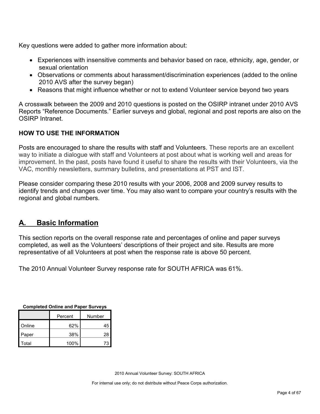Key questions were added to gather more information about:

- Experiences with insensitive comments and behavior based on race, ethnicity, age, gender, or sexual orientation
- Observations or comments about harassment/discrimination experiences (added to the online 2010 AVS after the survey began)
- Reasons that might influence whether or not to extend Volunteer service beyond two years

A crosswalk between the 2009 and 2010 questions is posted on the OSIRP intranet under 2010 AVS Reports "Reference Documents." Earlier surveys and global, regional and post reports are also on the OSIRP Intranet.

## **HOW TO USE THE INFORMATION**

Posts are encouraged to share the results with staff and Volunteers. These reports are an excellent way to initiate a dialogue with staff and Volunteers at post about what is working well and areas for improvement. In the past, posts have found it useful to share the results with their Volunteers, via the VAC, monthly newsletters, summary bulletins, and presentations at PST and IST.

Please consider comparing these 2010 results with your 2006, 2008 and 2009 survey results to identify trends and changes over time. You may also want to compare your country's results with the regional and global numbers.

## <span id="page-3-0"></span>**A. Basic Information**

This section reports on the overall response rate and percentages of online and paper surveys completed, as well as the Volunteers' descriptions of their project and site. Results are more representative of all Volunteers at post when the response rate is above 50 percent.

The 2010 Annual Volunteer Survey response rate for SOUTH AFRICA was 61%.

| Completed Online and Paper Surveys |      |    |  |  |
|------------------------------------|------|----|--|--|
| Number<br>Percent                  |      |    |  |  |
| Online                             | 62%  | 45 |  |  |
| Paper                              | 38%  | 28 |  |  |
| Total                              | 100% | 73 |  |  |

**Completed Online and Paper Surveys**

2010 Annual Volunteer Survey: SOUTH AFRICA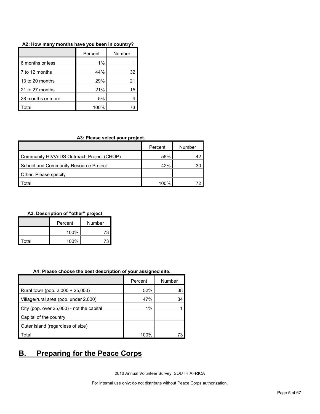| A2: How many months have you been in country? |  |  |  |  |  |  |  |  |  |  |
|-----------------------------------------------|--|--|--|--|--|--|--|--|--|--|
|-----------------------------------------------|--|--|--|--|--|--|--|--|--|--|

|                   | Percent | Number |  |
|-------------------|---------|--------|--|
| 6 months or less  | 1%      |        |  |
| 7 to 12 months    | 44%     | 32     |  |
| 13 to 20 months   | 29%     | 21     |  |
| 21 to 27 months   | 21%     | 15     |  |
| 28 months or more | 5%      |        |  |
| otal              | 100%    | 73     |  |

#### **A3: Please select your project.**

|                                            | Percent | Number |
|--------------------------------------------|---------|--------|
| Community HIV/AIDS Outreach Project (CHOP) | 58%     |        |
| School and Community Resource Project      | 42%     | 30     |
| Other. Please specify                      |         |        |
| `otal                                      | 100%    |        |

#### **A3. Description of "other" project**

|       | Percent     | Number |
|-------|-------------|--------|
|       | 100%<br>73. |        |
| Total | 100%        |        |

#### **A4: Please choose the best description of your assigned site.**

|                                           | Percent | Number |
|-------------------------------------------|---------|--------|
| Rural town (pop. 2,000 + 25,000)          | 52%     | 38     |
| Village/rural area (pop. under 2,000)     | 47%     | 34     |
| City (pop. over 25,000) - not the capital | 1%      |        |
| Capital of the country                    |         |        |
| Outer island (regardless of size)         |         |        |
| Total                                     | 100%    |        |

## <span id="page-4-0"></span>**B. Preparing for the Peace Corps**

2010 Annual Volunteer Survey: SOUTH AFRICA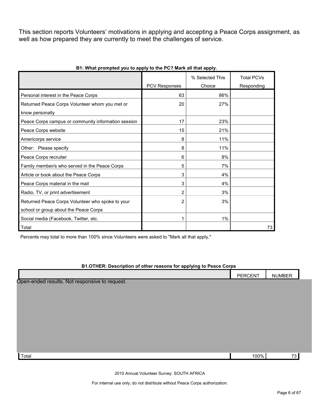This section reports Volunteers' motivations in applying and accepting a Peace Corps assignment, as well as how prepared they are currently to meet the challenges of service.

|                                                     |                | % Selected This | <b>Total PCVs</b> |
|-----------------------------------------------------|----------------|-----------------|-------------------|
|                                                     | PCV Responses  | Choice          | Responding        |
| Personal interest in the Peace Corps                | 63             | 86%             |                   |
| Returned Peace Corps Volunteer whom you met or      | 20             | 27%             |                   |
| know personally                                     |                |                 |                   |
| Peace Corps campus or community information session | 17             | 23%             |                   |
| Peace Corps website                                 | 15             | 21%             |                   |
| Americorps service                                  | 8              | 11%             |                   |
| Other: Please specify                               | 8              | 11%             |                   |
| Peace Corps recruiter                               | 6              | 8%              |                   |
| Family member/s who served in the Peace Corps       | 5              | 7%              |                   |
| Article or book about the Peace Corps               | 3              | 4%              |                   |
| Peace Corps material in the mail                    | 3              | 4%              |                   |
| Radio, TV, or print advertisement                   | 2              | 3%              |                   |
| Returned Peace Corps Volunteer who spoke to your    | $\overline{2}$ | 3%              |                   |
| school or group about the Peace Corps               |                |                 |                   |
| Social media (Facebook, Twitter, etc.               |                | 1%              |                   |
| Total                                               |                |                 | 73                |

#### **B1: What prompted you to apply to the PC? Mark all that apply.**

Percents may total to more than 100% since Volunteers were asked to "Mark all that apply."

#### **B1.OTHER: Description of other reasons for applying to Peace Corps**

|                                                | PERCENT | <b>NUMBER</b> |  |
|------------------------------------------------|---------|---------------|--|
| Open-ended results. Not responsive to request. |         |               |  |
|                                                |         |               |  |
|                                                |         |               |  |
|                                                |         |               |  |
|                                                |         |               |  |
|                                                |         |               |  |
|                                                |         |               |  |
|                                                |         |               |  |
|                                                |         |               |  |
| Total                                          | 100%    | 73            |  |

2010 Annual Volunteer Survey: SOUTH AFRICA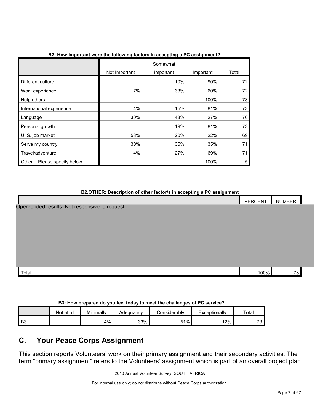|                                |               | Somewhat  |           |       |
|--------------------------------|---------------|-----------|-----------|-------|
|                                | Not Important | important | Important | Total |
| Different culture              |               | 10%       | 90%       | 72    |
| Work experience                | 7%            | 33%       | 60%       | 72    |
| Help others                    |               |           | 100%      | 73    |
| International experience       | 4%            | 15%       | 81%       | 73    |
| Language                       | 30%           | 43%       | 27%       | 70    |
| Personal growth                |               | 19%       | 81%       | 73    |
| U. S. job market               | 58%           | 20%       | 22%       | 69    |
| Serve my country               | 30%           | 35%       | 35%       | 71    |
| Travel/adventure               | 4%            | 27%       | 69%       | 71    |
| Please specify below<br>Other: |               |           | 100%      | 5     |

## **B2: How important were the following factors in accepting a PC assignment?**

#### **B2.OTHER: Description of other factor/s in accepting a PC assignment**

|                                                | PERCENT | NUMBER |  |
|------------------------------------------------|---------|--------|--|
| Open-ended results. Not responsive to request. |         |        |  |
|                                                |         |        |  |
|                                                |         |        |  |
|                                                |         |        |  |
|                                                |         |        |  |
|                                                |         |        |  |
|                                                |         |        |  |
|                                                |         |        |  |
|                                                |         |        |  |
| Total                                          | 100%    | 73     |  |

#### **B3: How prepared do you feel today to meet the challenges of PC service?**

|                | Not at all | Minimally | Adequately | Considerabl∨ | Exceptionally | Total     |
|----------------|------------|-----------|------------|--------------|---------------|-----------|
| B <sub>3</sub> |            | 4%        | 33%        | 51%          | 2%            | っへ<br>ں ہ |

## <span id="page-6-0"></span>**C. Your Peace Corps Assignment**

This section reports Volunteers' work on their primary assignment and their secondary activities. The term "primary assignment" refers to the Volunteers' assignment which is part of an overall project plan

2010 Annual Volunteer Survey: SOUTH AFRICA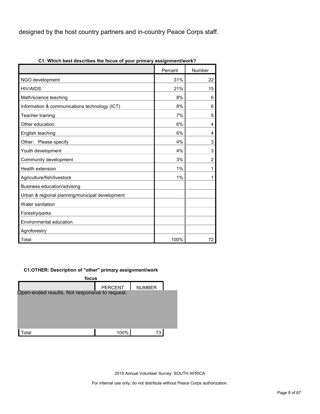designed by the host country partners and in-country Peace Corps staff.

| CT: which best describes the locus of your primary assignment/work? |         |                |
|---------------------------------------------------------------------|---------|----------------|
|                                                                     | Percent | Number         |
| NGO development                                                     | 31%     | 22             |
| <b>HIV/AIDS</b>                                                     | 21%     | 15             |
| Math/science teaching                                               | 8%      | 6              |
| Information & communications technology (ICT)                       | 8%      | 6              |
| Teacher training                                                    | 7%      | 5              |
| Other education                                                     | 6%      | 4              |
| English teaching                                                    | 6%      | 4              |
| Other: Please specify                                               | 4%      | 3              |
| Youth development                                                   | 4%      | 3              |
| Community development                                               | 3%      | $\overline{2}$ |
| Health extension                                                    | 1%      | 1              |
| Agriculture/fish/livestock                                          | 1%      | 1              |
| Business education/advising                                         |         |                |
| Urban & regional planning/municipal development                     |         |                |
| Water sanitation                                                    |         |                |
| Forestry/parks                                                      |         |                |
| Environmental education                                             |         |                |
| Agroforestry                                                        |         |                |
| Total                                                               | 100%    | 72             |

**C1: Which best describes the focus of your primary assignment/work?**

### **C1.OTHER: Description of "other" primary assignment/work**



2010 Annual Volunteer Survey: SOUTH AFRICA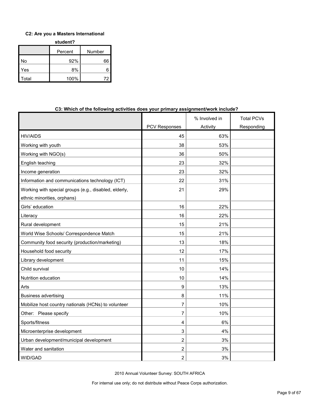### **C2: Are you a Masters International**

**student?**

|       | Percent | Number |
|-------|---------|--------|
| No    | 92%     | 66     |
| Yes   | 8%      | 6      |
| Total | 100%    | 72     |

| <u>William of the following activities upes your primary assignment work include:</u> |                      |               |                   |  |  |
|---------------------------------------------------------------------------------------|----------------------|---------------|-------------------|--|--|
|                                                                                       |                      | % Involved in | <b>Total PCVs</b> |  |  |
|                                                                                       | <b>PCV Responses</b> | Activity      | Responding        |  |  |
| <b>HIV/AIDS</b>                                                                       | 45                   | 63%           |                   |  |  |
| Working with youth                                                                    | 38                   | 53%           |                   |  |  |
| Working with NGO(s)                                                                   | 36                   | 50%           |                   |  |  |
| English teaching                                                                      | 23                   | 32%           |                   |  |  |
| Income generation                                                                     | 23                   | 32%           |                   |  |  |
| Information and communications technology (ICT)                                       | 22                   | 31%           |                   |  |  |
| Working with special groups (e.g., disabled, elderly,                                 | 21                   | 29%           |                   |  |  |
| ethnic minorities, orphans)                                                           |                      |               |                   |  |  |
| Girls' education                                                                      | 16                   | 22%           |                   |  |  |
| Literacy                                                                              | 16                   | 22%           |                   |  |  |
| Rural development                                                                     | 15                   | 21%           |                   |  |  |
| World Wise Schools/ Correspondence Match                                              | 15                   | 21%           |                   |  |  |
| Community food security (production/marketing)                                        | 13                   | 18%           |                   |  |  |
| Household food security                                                               | 12                   | 17%           |                   |  |  |
| Library development                                                                   | 11                   | 15%           |                   |  |  |
| Child survival                                                                        | 10                   | 14%           |                   |  |  |
| Nutrition education                                                                   | 10                   | 14%           |                   |  |  |
| Arts                                                                                  | 9                    | 13%           |                   |  |  |
| <b>Business advertising</b>                                                           | 8                    | 11%           |                   |  |  |
| Mobilize host country nationals (HCNs) to volunteer                                   | 7                    | 10%           |                   |  |  |
| Other: Please specify                                                                 | 7                    | 10%           |                   |  |  |
| Sports/fitness                                                                        | 4                    | 6%            |                   |  |  |
| Microenterprise development                                                           | 3                    | 4%            |                   |  |  |
| Urban development/municipal development                                               | $\overline{2}$       | 3%            |                   |  |  |
| Water and sanitation                                                                  | 2                    | 3%            |                   |  |  |
| WID/GAD                                                                               | 2                    | 3%            |                   |  |  |

## **C3: Which of the following activities does your primary assignment/work include?**

2010 Annual Volunteer Survey: SOUTH AFRICA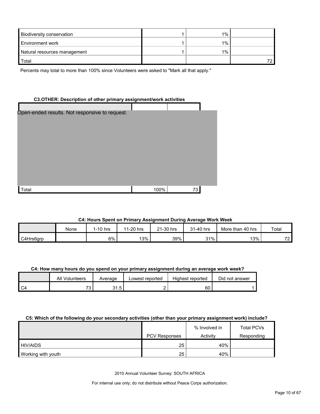| <b>Biodiversity conservation</b> | 1%    |  |
|----------------------------------|-------|--|
| Environment work                 | $1\%$ |  |
| Natural resources management     | 1%    |  |
| Total                            |       |  |

Percents may total to more than 100% since Volunteers were asked to "Mark all that apply."

#### **C3.OTHER: Description of other primary assignment/work activities**

| Open-ended results. Not responsive to request. |      |    |  |
|------------------------------------------------|------|----|--|
|                                                |      |    |  |
|                                                |      |    |  |
|                                                |      |    |  |
|                                                |      |    |  |
|                                                |      |    |  |
|                                                |      |    |  |
|                                                |      |    |  |
|                                                |      |    |  |
|                                                |      |    |  |
|                                                |      |    |  |
| Total                                          | 100% | 73 |  |

#### **C4: Hours Spent on Primary Assignment During Average Work Week**

|           | None | $1-10$ hrs | 11-20 hrs | 21-30 hrs | 31-40 hrs | More than 40 hrs | Total                         |
|-----------|------|------------|-----------|-----------|-----------|------------------|-------------------------------|
| C4Hrs6grp |      | 6%         | 13%       | 39%       | 31%       | 13%              | $\overline{\phantom{a}}$<br>- |

#### **C4: How many hours do you spend on your primary assignment during an average work week?**

| All Volunteers                 | Average           | ∟owest reported | <b>Highest reported</b> | Did not answer |
|--------------------------------|-------------------|-----------------|-------------------------|----------------|
| $\overline{\phantom{a}}$<br>ັບ | Е<br>ົາ<br>ن. ا ب |                 | 60                      |                |

#### **C5: Which of the following do your secondary activities (other than your primary assignment work) include?**

|                    |                      | % Involved in | <b>Total PCVs</b> |
|--------------------|----------------------|---------------|-------------------|
|                    | <b>PCV Responses</b> | Activity      | Responding        |
| <b>HIV/AIDS</b>    | 25                   | 40%           |                   |
| Working with youth | 25                   | 40%           |                   |

2010 Annual Volunteer Survey: SOUTH AFRICA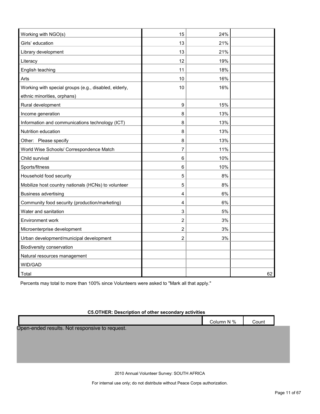| Working with NGO(s)                                   | 15             | 24% |    |
|-------------------------------------------------------|----------------|-----|----|
| Girls' education                                      | 13             | 21% |    |
| Library development                                   | 13             | 21% |    |
| Literacy                                              | 12             | 19% |    |
| English teaching                                      | 11             | 18% |    |
| Arts                                                  | 10             | 16% |    |
| Working with special groups (e.g., disabled, elderly, | 10             | 16% |    |
| ethnic minorities, orphans)                           |                |     |    |
| Rural development                                     | 9              | 15% |    |
| Income generation                                     | 8              | 13% |    |
| Information and communications technology (ICT)       | 8              | 13% |    |
| Nutrition education                                   | 8              | 13% |    |
| Other: Please specify                                 | 8              | 13% |    |
| World Wise Schools/ Correspondence Match              | 7              | 11% |    |
| Child survival                                        | 6              | 10% |    |
| Sports/fitness                                        | 6              | 10% |    |
| Household food security                               | 5              | 8%  |    |
| Mobilize host country nationals (HCNs) to volunteer   | 5              | 8%  |    |
| <b>Business advertising</b>                           | 4              | 6%  |    |
| Community food security (production/marketing)        | 4              | 6%  |    |
| Water and sanitation                                  | 3              | 5%  |    |
| Environment work                                      | $\overline{c}$ | 3%  |    |
| Microenterprise development                           | $\mathbf{2}$   | 3%  |    |
| Urban development/municipal development               | 2              | 3%  |    |
| Biodiversity conservation                             |                |     |    |
| Natural resources management                          |                |     |    |
| WID/GAD                                               |                |     |    |
| Total                                                 |                |     | 62 |

Percents may total to more than 100% since Volunteers were asked to "Mark all that apply."

#### **C5.OTHER: Description of other secondary activities**

|                                                | Column N % | Count |
|------------------------------------------------|------------|-------|
| Open-ended results. Not responsive to request. |            |       |
|                                                |            |       |
|                                                |            |       |
|                                                |            |       |

2010 Annual Volunteer Survey: SOUTH AFRICA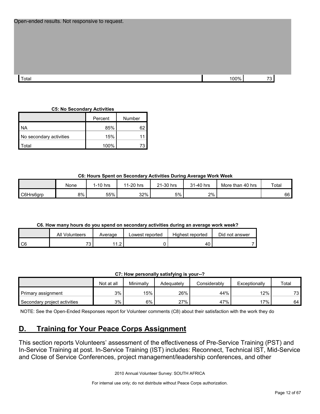| Open-ended results. Not responsive to request. |      |    |
|------------------------------------------------|------|----|
|                                                |      |    |
| Total                                          | 100% | 73 |
|                                                |      |    |

## **C5: No Secondary Activities**

|                         | Percent | Number |
|-------------------------|---------|--------|
| <b>NA</b>               | 85%     | 62     |
| No secondary activities | 15%     |        |
| `otal                   | 100%    | 73     |

## **C6: Hours Spent on Secondary Activities During Average Work Week**

|           | None | 1-10 hrs | 11-20 hrs | 21-30 hrs<br>$^{\circ}$ | 31-40 hrs | More than 40 hrs | Total |
|-----------|------|----------|-----------|-------------------------|-----------|------------------|-------|
| C6Hrs6grp | 8%   | 55%      | 32%       | 5%                      | 2%        |                  | 66    |

## **C6. How many hours do you spend on secondary activities during an average work week?**

|        | All Volunteers           | Average                | Lowest reported | Highest reported | Did not answer |
|--------|--------------------------|------------------------|-----------------|------------------|----------------|
| $\sim$ | $\overline{\phantom{a}}$ | $\sim$<br>. . <u>.</u> |                 | 40.              |                |

## **C7: How personally satisfying is your--?**

|                              | Not at all | Minimally | Adeauatelv | Considerablv | Exceptionally | Total |
|------------------------------|------------|-----------|------------|--------------|---------------|-------|
| Primary assignment           | 3%         | 15%       | 26%        | 44%          | 12%           | 73.   |
| Secondary project activities | 3%         | 6%        | 27%        | 47%          | 17%           | 64    |

NOTE: See the Open-Ended Responses report for Volunteer comments (C8) about their satisfaction with the work they do

## <span id="page-11-0"></span>**D. Training for Your Peace Corps Assignment**

This section reports Volunteers' assessment of the effectiveness of Pre-Service Training (PST) and In-Service Training at post. In-Service Training (IST) includes: Reconnect, Technical IST, Mid-Service and Close of Service Conferences, project management/leadership conferences, and other

2010 Annual Volunteer Survey: SOUTH AFRICA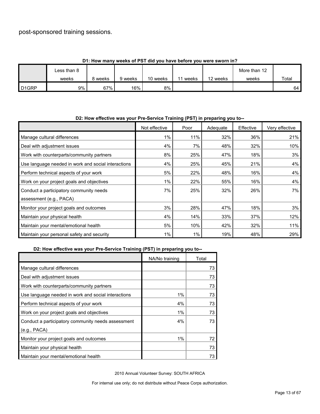## post-sponsored training sessions.

|                   | <b>1. HOW HIGHT WEEKS OF FST GIG YOU HAVE DEIDLE YOU WELE SWOLLEN!!!</b> |       |         |          |       |          |              |       |  |  |
|-------------------|--------------------------------------------------------------------------|-------|---------|----------|-------|----------|--------------|-------|--|--|
|                   | Less than 8                                                              |       |         |          |       |          | More than 12 |       |  |  |
|                   | weeks                                                                    | weeks | 9 weeks | 10 weeks | weeks | 12 weeks | weeks        | Total |  |  |
| D <sub>1GRP</sub> | $9\%$                                                                    | 67%   | 16%     | 8%       |       |          |              | 64    |  |  |

## **D1: How many weeks of PST did you have before you were sworn in?**

| DZ: How effective was your Pre-Service Training (PST) in preparing you to-- |               |       |          |           |                |
|-----------------------------------------------------------------------------|---------------|-------|----------|-----------|----------------|
|                                                                             | Not effective | Poor  | Adequate | Effective | Very effective |
| Manage cultural differences                                                 | $1\%$         | 11%   | 32%      | 36%       | 21%            |
| Deal with adjustment issues                                                 | 4%            | 7%    | 48%      | 32%       | 10%            |
| Work with counterparts/community partners                                   | 8%            | 25%   | 47%      | 18%       | 3%             |
| Use language needed in work and social interactions                         | 4%            | 25%   | 45%      | 21%       | 4%             |
| Perform technical aspects of your work                                      | 5%            | 22%   | 48%      | 16%       | 4%             |
| Work on your project goals and objectives                                   | $1\%$         | 22%   | 55%      | 16%       | 4%             |
| Conduct a participatory community needs                                     | 7%            | 25%   | 32%      | 26%       | 7%             |
| assessment (e.g., PACA)                                                     |               |       |          |           |                |
| Monitor your project goals and outcomes                                     | 3%            | 28%   | 47%      | 18%       | 3%             |
| Maintain your physical health                                               | 4%            | 14%   | 33%      | 37%       | 12%            |
| Maintain your mental/emotional health                                       | 5%            | 10%   | 42%      | 32%       | 11%            |
| Maintain your personal safety and security                                  | 1%            | $1\%$ | 19%      | 48%       | 29%            |

## **D2: How effective was your Pre-Service Training (PST) in preparing you to--**

## **D2: How effective was your Pre-Service Training (PST) in preparing you to--**

|                                                     | NA/No training | Total |
|-----------------------------------------------------|----------------|-------|
| Manage cultural differences                         |                | 73    |
| Deal with adjustment issues                         |                | 73    |
| Work with counterparts/community partners           |                | 73    |
| Use language needed in work and social interactions | 1%             | 73    |
| Perform technical aspects of your work              | 4%             | 73    |
| Work on your project goals and objectives           | 1%             | 73    |
| Conduct a participatory community needs assessment  | 4%             | 73    |
| (e.g., PACA)                                        |                |       |
| Monitor your project goals and outcomes             | 1%             | 72    |
| Maintain your physical health                       |                | 73    |
| Maintain your mental/emotional health               |                | 73    |

2010 Annual Volunteer Survey: SOUTH AFRICA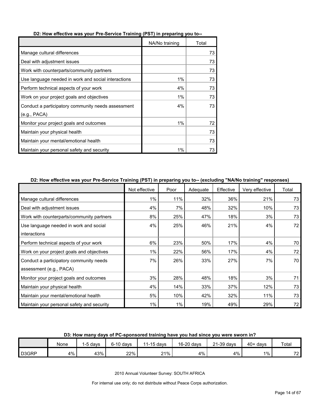|                                                     | NA/No training | Total |
|-----------------------------------------------------|----------------|-------|
| Manage cultural differences                         |                | 73    |
| Deal with adjustment issues                         |                | 73    |
| Work with counterparts/community partners           |                | 73    |
| Use language needed in work and social interactions | 1%             | 73    |
| Perform technical aspects of your work              | 4%             | 73    |
| Work on your project goals and objectives           | 1%             | 73    |
| Conduct a participatory community needs assessment  | 4%             | 73    |
| (e.g., PACA)                                        |                |       |
| Monitor your project goals and outcomes             | $1\%$          | 72    |
| Maintain your physical health                       |                | 73    |
| Maintain your mental/emotional health               |                | 73    |
| Maintain your personal safety and security          | 1%             | 73    |

#### **D2: How effective was your Pre-Service Training (PST) in preparing you to--**

## **D2: How effective was your Pre-Service Training (PST) in preparing you to-- (excluding "NA/No training" responses)**

|                                            | Not effective | Poor  | Adequate | Effective | Very effective | Total |
|--------------------------------------------|---------------|-------|----------|-----------|----------------|-------|
| Manage cultural differences                | 1%            | 11%   | 32%      | 36%       | 21%            | 73    |
| Deal with adjustment issues                | 4%            | 7%    | 48%      | 32%       | 10%            | 73    |
| Work with counterparts/community partners  | 8%            | 25%   | 47%      | 18%       | 3%             | 73    |
| Use language needed in work and social     | 4%            | 25%   | 46%      | 21%       | 4%             | 72    |
| interactions                               |               |       |          |           |                |       |
| Perform technical aspects of your work     | 6%            | 23%   | 50%      | 17%       | 4%             | 70    |
| Work on your project goals and objectives  | 1%            | 22%   | 56%      | 17%       | 4%             | 72    |
| Conduct a participatory community needs    | 7%            | 26%   | 33%      | 27%       | 7%             | 70    |
| assessment (e.g., PACA)                    |               |       |          |           |                |       |
| Monitor your project goals and outcomes    | 3%            | 28%   | 48%      | 18%       | 3%             | 71    |
| Maintain your physical health              | 4%            | 14%   | 33%      | 37%       | 12%            | 73    |
| Maintain your mental/emotional health      | 5%            | 10%   | 42%      | 32%       | 11%            | 73    |
| Maintain your personal safety and security | $1\%$         | $1\%$ | 19%      | 49%       | 29%            | 72    |

### **D3: How many days of PC-sponsored training have you had since you were sworn in?**

|       | None | -5 davs | $6-10$ days | 1-15 davs<br>14 | 16-20 days | 21-39 days | 40+<br>∙ davs | Total                    |
|-------|------|---------|-------------|-----------------|------------|------------|---------------|--------------------------|
| D3GRP | 4%   | 43%     | 22%         | 21%             | 4%         | 4%         | 1%            | $\overline{\phantom{a}}$ |

2010 Annual Volunteer Survey: SOUTH AFRICA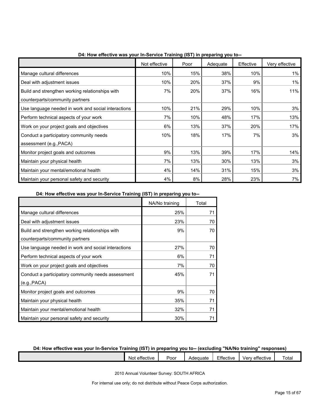|                                                     | Not effective | Poor | Adequate | Effective | Very effective |
|-----------------------------------------------------|---------------|------|----------|-----------|----------------|
| Manage cultural differences                         | 10%           | 15%  | 38%      | 10%       | $1\%$          |
| Deal with adjustment issues                         | 10%           | 20%  | 37%      | 9%        | $1\%$          |
| Build and strengthen working relationships with     | 7%            | 20%  | 37%      | 16%       | 11%            |
| counterparts/community partners                     |               |      |          |           |                |
| Use language needed in work and social interactions | 10%           | 21%  | 29%      | 10%       | 3%             |
| Perform technical aspects of your work              | 7%            | 10%  | 48%      | 17%       | 13%            |
| Work on your project goals and objectives           | 6%            | 13%  | 37%      | 20%       | 17%            |
| Conduct a participatory community needs             | 10%           | 18%  | 17%      | 7%        | 3%             |
| assessment (e.g., PACA)                             |               |      |          |           |                |
| Monitor project goals and outcomes                  | 9%            | 13%  | 39%      | 17%       | 14%            |
| Maintain your physical health                       | 7%            | 13%  | 30%      | 13%       | 3%             |
| Maintain your mental/emotional health               | 4%            | 14%  | 31%      | 15%       | 3%             |
| Maintain your personal safety and security          | 4%            | 8%   | 28%      | 23%       | 7%             |

**D4: How effective was your In-Service Training (IST) in preparing you to--**

**D4: How effective was your In-Service Training (IST) in preparing you to--**

|                                                     | NA/No training | Total |
|-----------------------------------------------------|----------------|-------|
| Manage cultural differences                         | 25%            | 71    |
| Deal with adjustment issues                         | 23%            | 70    |
| Build and strengthen working relationships with     | 9%             | 70    |
| counterparts/community partners                     |                |       |
| Use language needed in work and social interactions | 27%            | 70    |
| Perform technical aspects of your work              | 6%             | 71    |
| Work on your project goals and objectives           | 7%             | 70    |
| Conduct a participatory community needs assessment  | 45%            | 71    |
| (e.g., PACA)                                        |                |       |
| Monitor project goals and outcomes                  | 9%             | 70    |
| Maintain your physical health                       | 35%            | 71    |
| Maintain your mental/emotional health               | 32%            | 71    |
| Maintain your personal safety and security          | 30%            | 71    |

#### **D4: How effective was your In-Service Training (IST) in preparing you to-- (excluding "NA/No training" responses)**

| $\overline{\phantom{a}}$<br><br>effective<br>Not | Poor | Adequate | $-$ cc.<br>$\overline{\phantom{a}}$<br>Effective | verv<br>effective | otal |
|--------------------------------------------------|------|----------|--------------------------------------------------|-------------------|------|
|                                                  |      |          |                                                  |                   |      |
|                                                  |      |          |                                                  |                   |      |

2010 Annual Volunteer Survey: SOUTH AFRICA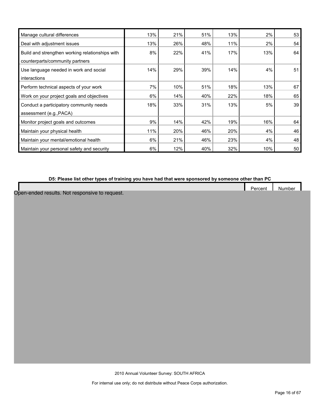| Manage cultural differences                     | 13% | 21% | 51% | 13% | 2%  | 53 |
|-------------------------------------------------|-----|-----|-----|-----|-----|----|
| Deal with adjustment issues                     | 13% | 26% | 48% | 11% | 2%  | 54 |
| Build and strengthen working relationships with | 8%  | 22% | 41% | 17% | 13% | 64 |
| counterparts/community partners                 |     |     |     |     |     |    |
| Use language needed in work and social          | 14% | 29% | 39% | 14% | 4%  | 51 |
| interactions                                    |     |     |     |     |     |    |
| Perform technical aspects of your work          | 7%  | 10% | 51% | 18% | 13% | 67 |
| Work on your project goals and objectives       | 6%  | 14% | 40% | 22% | 18% | 65 |
| Conduct a participatory community needs         | 18% | 33% | 31% | 13% | 5%  | 39 |
| assessment (e.g., PACA)                         |     |     |     |     |     |    |
| Monitor project goals and outcomes              | 9%  | 14% | 42% | 19% | 16% | 64 |
| Maintain your physical health                   | 11% | 20% | 46% | 20% | 4%  | 46 |
| Maintain your mental/emotional health           | 6%  | 21% | 46% | 23% | 4%  | 48 |
| Maintain your personal safety and security      | 6%  | 12% | 40% | 32% | 10% | 50 |

## **D5: Please list other types of training you have had that were sponsored by someone other than PC**

|  | $\overline{\phantom{a}}$<br>Percent | Number |
|--|-------------------------------------|--------|
|  |                                     |        |

Open-ended results. Not responsive to request.

2010 Annual Volunteer Survey: SOUTH AFRICA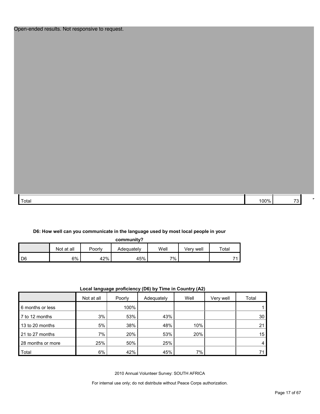| Total | 00 <sub>0</sub> |  |
|-------|-----------------|--|

#### **D6: How well can you communicate in the language used by most local people in your**

|                |            |        | community? |      |           |       |
|----------------|------------|--------|------------|------|-----------|-------|
|                | Not at all | Poorly | Adequately | Well | √erv well | Total |
| D <sub>6</sub> | 6%         | 42%    | 45%        | 7%   |           | 71    |

| Local language proficiency (D6) by Time in Country (A2) |  |  |  |
|---------------------------------------------------------|--|--|--|
|---------------------------------------------------------|--|--|--|

|                   |            | .      |            | $\, \, \cdot \,$ |           |       |
|-------------------|------------|--------|------------|------------------|-----------|-------|
|                   | Not at all | Poorly | Adequately | Well             | Very well | Total |
| 6 months or less  |            | 100%   |            |                  |           |       |
| 7 to 12 months    | 3%         | 53%    | 43%        |                  |           | 30    |
| 13 to 20 months   | 5%         | 38%    | 48%        | 10%              |           | 21    |
| 21 to 27 months   | 7%         | 20%    | 53%        | 20%              |           | 15    |
| 28 months or more | 25%        | 50%    | 25%        |                  |           | 4     |
| Total             | 6%         | 42%    | 45%        | 7%               |           | 71    |

2010 Annual Volunteer Survey: SOUTH AFRICA

For internal use only; do not distribute without Peace Corps authorization.

O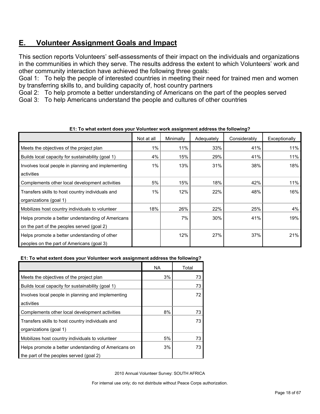## <span id="page-17-0"></span>**E. Volunteer Assignment Goals and Impact**

This section reports Volunteers' self-assessments of their impact on the individuals and organizations in the communities in which they serve. The results address the extent to which Volunteers' work and other community interaction have achieved the following three goals:

Goal 1: To help the people of interested countries in meeting their need for trained men and women by transferring skills to, and building capacity of, host country partners

Goal 2: To help promote a better understanding of Americans on the part of the peoples served

Goal 3: To help Americans understand the people and cultures of other countries

|                                                    | Not at all | Minimally | Adequately | Considerably | Exceptionally |
|----------------------------------------------------|------------|-----------|------------|--------------|---------------|
| Meets the objectives of the project plan           | 1%         | 11%       | 33%        | 41%          | 11%           |
| Builds local capacity for sustainability (goal 1)  | 4%         | 15%       | 29%        | 41%          | 11%           |
| Involves local people in planning and implementing | 1%         | 13%       | 31%        | 38%          | 18%           |
| activities                                         |            |           |            |              |               |
| Complements other local development activities     | 5%         | 15%       | 18%        | 42%          | 11%           |
| Transfers skills to host country individuals and   | 1%         | 12%       | 22%        | 48%          | 16%           |
| organizations (goal 1)                             |            |           |            |              |               |
| Mobilizes host country individuals to volunteer    | 18%        | 26%       | 22%        | 25%          | 4%            |
| Helps promote a better understanding of Americans  |            | 7%        | 30%        | 41%          | 19%           |
| on the part of the peoples served (goal 2)         |            |           |            |              |               |
| Helps promote a better understanding of other      |            | 12%       | 27%        | 37%          | 21%           |
| peoples on the part of Americans (goal 3)          |            |           |            |              |               |

**E1: To what extent does your Volunteer work assignment address the following?**

#### **E1: To what extent does your Volunteer work assignment address the following?**

|                                                      | <b>NA</b> | Total |
|------------------------------------------------------|-----------|-------|
| Meets the objectives of the project plan             | 3%        | 73    |
| Builds local capacity for sustainability (goal 1)    |           | 73    |
| Involves local people in planning and implementing   |           | 72    |
| activities                                           |           |       |
| Complements other local development activities       | 8%        | 73    |
| Transfers skills to host country individuals and     |           | 73    |
| organizations (goal 1)                               |           |       |
| Mobilizes host country individuals to volunteer      | 5%        | 73    |
| Helps promote a better understanding of Americans on | 3%        | 73    |
| the part of the peoples served (goal 2)              |           |       |

2010 Annual Volunteer Survey: SOUTH AFRICA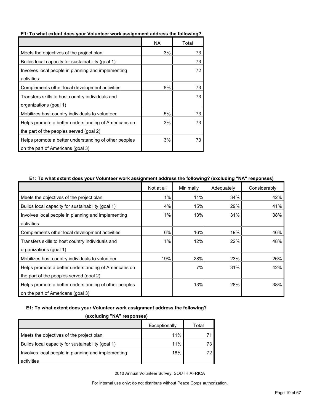|                                                       | NA. | Total |
|-------------------------------------------------------|-----|-------|
| Meets the objectives of the project plan              | 3%  | 73    |
| Builds local capacity for sustainability (goal 1)     |     | 73    |
| Involves local people in planning and implementing    |     | 72    |
| activities                                            |     |       |
| Complements other local development activities        | 8%  | 73    |
| Transfers skills to host country individuals and      |     | 73    |
| organizations (goal 1)                                |     |       |
| Mobilizes host country individuals to volunteer       | 5%  | 73    |
| Helps promote a better understanding of Americans on  | 3%  | 73    |
| the part of the peoples served (goal 2)               |     |       |
| Helps promote a better understanding of other peoples | 3%  | 73    |
| on the part of Americans (goal 3)                     |     |       |

#### **E1: To what extent does your Volunteer work assignment address the following?**

#### **E1: To what extent does your Volunteer work assignment address the following? (excluding "NA" responses)**

|                                                       | Not at all | Minimally | Adequately | Considerably |
|-------------------------------------------------------|------------|-----------|------------|--------------|
| Meets the objectives of the project plan              | 1%         | 11%       | 34%        | 42%          |
| Builds local capacity for sustainability (goal 1)     | 4%         | 15%       | 29%        | 41%          |
| Involves local people in planning and implementing    | 1%         | 13%       | 31%        | 38%          |
| activities                                            |            |           |            |              |
| Complements other local development activities        | 6%         | 16%       | 19%        | 46%          |
| Transfers skills to host country individuals and      | 1%         | 12%       | 22%        | 48%          |
| organizations (goal 1)                                |            |           |            |              |
| Mobilizes host country individuals to volunteer       | 19%        | 28%       | 23%        | 26%          |
| Helps promote a better understanding of Americans on  |            | 7%        | 31%        | 42%          |
| the part of the peoples served (goal 2)               |            |           |            |              |
| Helps promote a better understanding of other peoples |            | 13%       | 28%        | 38%          |
| on the part of Americans (goal 3)                     |            |           |            |              |

## **E1: To what extent does your Volunteer work assignment address the following?**

#### **(excluding "NA" responses)**

|                                                    | Exceptionally | Total |
|----------------------------------------------------|---------------|-------|
| Meets the objectives of the project plan           | 11%           |       |
| Builds local capacity for sustainability (goal 1)  | 11%           | 73.   |
| Involves local people in planning and implementing | 18%           | 72.   |
| activities                                         |               |       |

2010 Annual Volunteer Survey: SOUTH AFRICA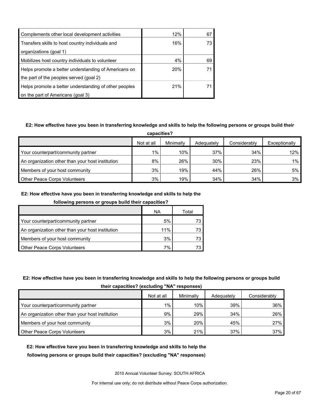| Complements other local development activities        | 12% | 67 |
|-------------------------------------------------------|-----|----|
| Transfers skills to host country individuals and      | 16% |    |
| organizations (goal 1)                                |     |    |
| Mobilizes host country individuals to volunteer       | 4%  | 69 |
| Helps promote a better understanding of Americans on  | 20% |    |
| the part of the peoples served (goal 2)               |     |    |
| Helps promote a better understanding of other peoples | 21% |    |
| on the part of Americans (goal 3)                     |     |    |

## **E2: How effective have you been in transferring knowledge and skills to help the following persons or groups build their**

| capacities?                                      |            |           |            |              |               |  |
|--------------------------------------------------|------------|-----------|------------|--------------|---------------|--|
|                                                  | Not at all | Minimally | Adequately | Considerably | Exceptionally |  |
| Your counterpart/community partner               | 1%         | 10%       | 37%        | 34%          | 12%           |  |
| An organization other than your host institution | 8%         | 26%       | 30%        | 23%          | $1\%$         |  |
| Members of your host community                   | 3%         | 19%       | 44%        | 26%          | 5%            |  |
| <b>Other Peace Corps Volunteers</b>              | 3%         | 19%       | 34%        | 34%          | 3%            |  |

## **E2: How effective have you been in transferring knowledge and skills to help the**

| following persons or groups build their capacities? |
|-----------------------------------------------------|
|-----------------------------------------------------|

|                                                  | ΝA  | Total |
|--------------------------------------------------|-----|-------|
| Your counterpart/community partner               | 5%  | 73.   |
| An organization other than your host institution | 11% | 73    |
| Members of your host community                   | 3%  | 73    |
| <b>Other Peace Corps Volunteers</b>              | 7%  | 73.   |

## **E2: How effective have you been in transferring knowledge and skills to help the following persons or groups build**

| their capacities? (excluding "NA" responses) |  |  |  |  |
|----------------------------------------------|--|--|--|--|
|----------------------------------------------|--|--|--|--|

|                                                  | Not at all | Minimally | Adequately | Considerably |
|--------------------------------------------------|------------|-----------|------------|--------------|
| Your counterpart/community partner               | 1%         | 10%       | 39%        | 36%          |
| An organization other than your host institution | 9%         | 29%       | 34%        | 26%          |
| Members of your host community                   | 3%         | 20%       | 45%        | 27%          |
| Other Peace Corps Volunteers                     | 3%         | 21%       | 37%        | 37%          |

## **E2: How effective have you been in transferring knowledge and skills to help the following persons or groups build their capacities? (excluding "NA" responses)**

2010 Annual Volunteer Survey: SOUTH AFRICA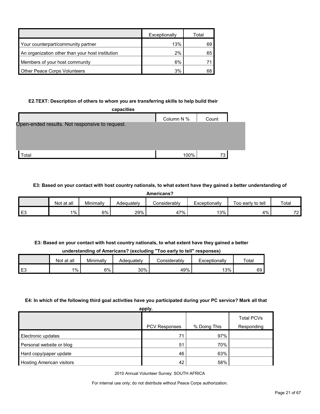|                                                  | Exceptionally | Total |
|--------------------------------------------------|---------------|-------|
| Your counterpart/community partner               | 13%           | 69    |
| An organization other than your host institution | 2%            | 65    |
| Members of your host community                   | 6%            |       |
| Other Peace Corps Volunteers                     | 3%            |       |

## **E2.TEXT: Description of others to whom you are transferring skills to help build their**

| capacities                                     |            |       |  |
|------------------------------------------------|------------|-------|--|
|                                                | Column N % | Count |  |
| Open-ended results. Not responsive to request. |            |       |  |
|                                                |            |       |  |
|                                                |            |       |  |
|                                                |            |       |  |
| Total                                          | 100%       | 73    |  |
|                                                |            |       |  |

## **E3: Based on your contact with host country nationals, to what extent have they gained a better understanding of**

| Americans?     |            |           |            |                     |               |                   |                |  |
|----------------|------------|-----------|------------|---------------------|---------------|-------------------|----------------|--|
|                | Not at all | Minimally | Adequately | <b>Considerably</b> | Exceptionally | Too early to tell | Total          |  |
| E <sub>3</sub> | 1%         | 6%        | 29%        | 47%                 | 13%           | 4%                | 70<br>$\sim$ 4 |  |

## **E3: Based on your contact with host country nationals, to what extent have they gained a better understanding of Americans? (excluding "Too early to tell" responses)**

|    | Not at all | Minimally | Adequately | Considerabl∨ | Exceptionally | Total |
|----|------------|-----------|------------|--------------|---------------|-------|
| E3 | $1\%$      | 6%        | 30%        | 49%          | 13%           | 69    |

## **E4: In which of the following third goal activities have you participated during your PC service? Mark all that**

| apply.                           |                      |              |                   |  |  |
|----------------------------------|----------------------|--------------|-------------------|--|--|
|                                  |                      |              | <b>Total PCVs</b> |  |  |
|                                  | <b>PCV Responses</b> | % Doing This | Responding        |  |  |
| Electronic updates               | 71                   | 97%          |                   |  |  |
| Personal website or blog         | 51                   | 70%          |                   |  |  |
| Hard copy/paper update           | 46                   | 63%          |                   |  |  |
| <b>Hosting American visitors</b> | 42                   | 58%          |                   |  |  |

2010 Annual Volunteer Survey: SOUTH AFRICA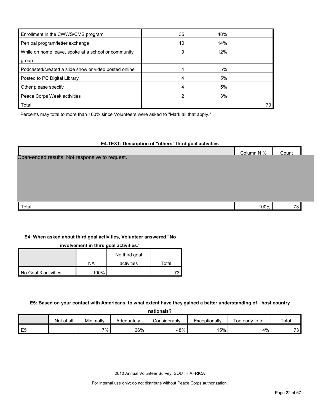| Enrollment in the CWWS/CMS program                    | 35 | 48% |    |
|-------------------------------------------------------|----|-----|----|
| Pen pal program/letter exchange                       | 10 | 14% |    |
| While on home leave, spoke at a school or community   | 9  | 12% |    |
| group                                                 |    |     |    |
| Podcasted/created a slide show or video posted online |    | 5%  |    |
| Posted to PC Digital Library                          |    | 5%  |    |
| Other please specify                                  | 4  | 5%  |    |
| Peace Corps Week activities                           |    | 3%  |    |
| Total                                                 |    |     | 73 |

Percents may total to more than 100% since Volunteers were asked to "Mark all that apply."

#### **E4.TEXT: Description of "others" third goal activities**

|                                                | Column N % | Count |  |
|------------------------------------------------|------------|-------|--|
| Open-ended results. Not responsive to request. |            |       |  |
|                                                |            |       |  |
|                                                |            |       |  |
|                                                |            |       |  |
|                                                |            |       |  |
|                                                |            |       |  |
|                                                |            |       |  |
| Total                                          | 100%       | 73    |  |

#### **E4: When asked about third goal activities, Volunteer answered "No**

**involvement in third goal activities."** 

|                      |         | No third goal |       |
|----------------------|---------|---------------|-------|
|                      | NA      | activities    | Total |
| No Goal 3 activities | $100\%$ |               |       |

#### **E5: Based on your contact with Americans, to what extent have they gained a better understanding of host country**

**nationals?**

|                | Not at all | Minimally | Adequately | Considerabl∨ | Exceptionally | Too early to tell | Total     |
|----------------|------------|-----------|------------|--------------|---------------|-------------------|-----------|
| E <sub>5</sub> |            | 7% .      | 26%        | 48%          | 15%           | 4%                | 70<br>∕ ، |

2010 Annual Volunteer Survey: SOUTH AFRICA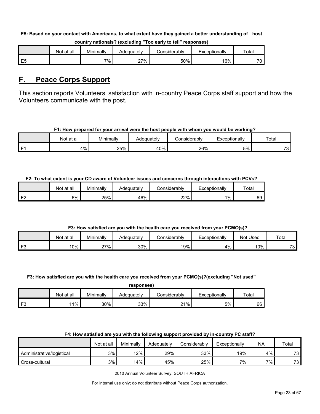#### **E5: Based on your contact with Americans, to what extent have they gained a better understanding of host**

|    | Not at all | Minimally | Adequatelv | ≿onsiderablv | Exceptionally | Total           |
|----|------------|-----------|------------|--------------|---------------|-----------------|
| E5 |            | 7%        | 27%        | 50%          | 16%           | 70 <sub>1</sub> |

#### **country nationals? (excluding "Too early to tell" responses)**

## <span id="page-22-0"></span>**F. Peace Corps Support**

This section reports Volunteers' satisfaction with in-country Peace Corps staff support and how the Volunteers communicate with the post.

#### **F1: How prepared for your arrival were the host people with whom you would be working?**

|      | Not at all | Minimally | Adequatelv | Considerably | Exceptionally | Total                         |
|------|------------|-----------|------------|--------------|---------------|-------------------------------|
| l F1 | 4%         | 25%       | 40%        | 26%          | 5%            | $\overline{\phantom{a}}$<br>ີ |

## **F2: To what extent is your CD aware of Volunteer issues and concerns through interactions with PCVs?**

|    | Not at all | Minimallv | Adequatelv | onsiderabl∨ٽ | Exceptionally | Total |
|----|------------|-----------|------------|--------------|---------------|-------|
| ЕG | 6%         | 25%       | 46%        | 22%          | 1%            | 69    |

## **F3: How satisfied are you with the health care you received from your PCMO(s)?**

|    | Not at all | Minimally | Adeɑuatelv | Considerablv | <i>c</i> xceptionally | Used<br>Not | Total     |
|----|------------|-----------|------------|--------------|-----------------------|-------------|-----------|
| FЗ | $10\%$     | 27%       | 30%        | 19%          | $4\%$                 | 10%         | 70<br>د / |

#### **F3: How satisfied are you with the health care you received from your PCMO(s)?(excluding "Not used"**

| responses |
|-----------|
|-----------|

|     | Not at all | Minimally | Adequatelv | <b>Considerably</b> | Exceptionally | Total |
|-----|------------|-----------|------------|---------------------|---------------|-------|
| ⊥E? | 11%        | 30%       | 33%        | 21%                 | 5%            | 66    |

## **F4: How satisfied are you with the following support provided by in-country PC staff?**

|                           | Not at all | Minimally | Adequately | Considerably | Exceptionally | <b>NA</b> | Total    |
|---------------------------|------------|-----------|------------|--------------|---------------|-----------|----------|
| Administrative/logistical | 3%         | 12%       | 29%        | 33%          | 19%           | 4%        | 72<br>ັບ |
| Cross-cultural            | 3%         | 14%       | 45%        | 25%          | 7%            | 7%        | 70<br>ັບ |

2010 Annual Volunteer Survey: SOUTH AFRICA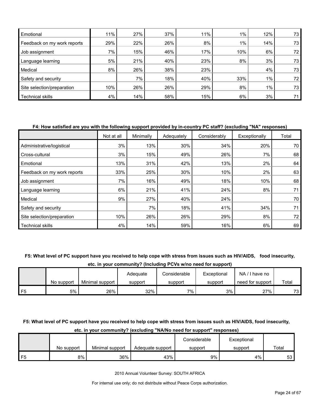| Emotional                   | 11% | 27% | 37% | 11% | $1\%$ | 12%   | 73              |
|-----------------------------|-----|-----|-----|-----|-------|-------|-----------------|
| Feedback on my work reports | 29% | 22% | 26% | 8%  | $1\%$ | 14%   | 73              |
| Job assignment              | 7%  | 15% | 46% | 17% | 10%   | 6%    | 72 <sub>1</sub> |
| Language learning           | 5%  | 21% | 40% | 23% | 8%    | 3%    | 73              |
| Medical                     | 8%  | 26% | 38% | 23% |       | 4%    | 73              |
| Safety and security         |     | 7%  | 18% | 40% | 33%   | $1\%$ | 72 <sub>1</sub> |
| Site selection/preparation  | 10% | 26% | 26% | 29% | 8%    | $1\%$ | 73              |
| Technical skills            | 4%  | 14% | 58% | 15% | 6%    | 3%    | 71              |

#### **F4: How satisfied are you with the following support provided by in-country PC staff? (excluding "NA" responses)**

|                             | Not at all | Minimally | Adequately | Considerably | Exceptionally | Total |
|-----------------------------|------------|-----------|------------|--------------|---------------|-------|
| Administrative/logistical   | 3%         | 13%       | 30%        | 34%          | 20%           | 70    |
| Cross-cultural              | 3%         | 15%       | 49%        | 26%          | 7%            | 68    |
| Emotional                   | 13%        | 31%       | 42%        | 13%          | 2%            | 64    |
| Feedback on my work reports | 33%        | 25%       | 30%        | 10%          | 2%            | 63    |
| Job assignment              | 7%         | 16%       | 49%        | 18%          | 10%           | 68    |
| Language learning           | 6%         | 21%       | 41%        | 24%          | 8%            | 71    |
| Medical                     | 9%         | 27%       | 40%        | 24%          |               | 70    |
| Safety and security         |            | 7%        | 18%        | 41%          | 34%           | 71    |
| Site selection/preparation  | 10%        | 26%       | 26%        | 29%          | 8%            | 72    |
| <b>Technical skills</b>     | 4%         | 14%       | 59%        | 16%          | 6%            | 69    |

#### **F5: What level of PC support have you received to help cope with stress from issues such as HIV/AIDS, food insecurity,**

**etc. in your community? (Including PCVs w/no need for support)**

|    |            |                 | Adeguate | Considerable | Exceptional | NA.<br>I have no |       |
|----|------------|-----------------|----------|--------------|-------------|------------------|-------|
|    | No support | Minimal support | support  | support      | support     | need for support | Total |
| F5 | 5%         | 26%             | 32%      | $7\%$        | 3%          | 27%              | 73    |

### **F5: What level of PC support have you received to help cope with stress from issues such as HIV/AIDS, food insecurity,**

|    |            |                 |                  | Considerable | Exceptional |       |
|----|------------|-----------------|------------------|--------------|-------------|-------|
|    | No support | Minimal support | Adequate support | support      | support     | Total |
| F5 | 8%         | 36%             | 43%              | 9%           | 4%          | 53    |

#### **etc. in your community? (excluding "NA/No need for support" responses)**

2010 Annual Volunteer Survey: SOUTH AFRICA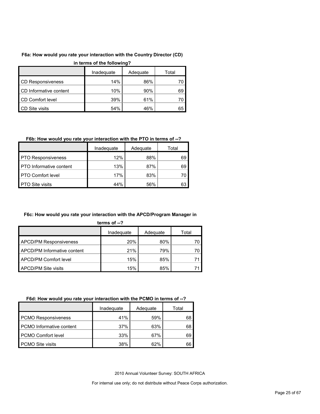## **F6a: How would you rate your interaction with the Country Director (CD)**

| in terms of the following? |            |          |       |
|----------------------------|------------|----------|-------|
|                            | Inadequate | Adequate | Total |
| <b>CD Responsiveness</b>   | 14%        | 86%      | 70    |
| CD Informative content     | 10%        | 90%      | 69    |
| CD Comfort level           | 39%        | 61%      | 70    |
| CD Site visits             | 54%        | 46%      | 65    |

## **in terms of the following?**

## **F6b: How would you rate your interaction with the PTO in terms of --?**

|                                | Inadequate | Adequate | Total |
|--------------------------------|------------|----------|-------|
| <b>PTO Responsiveness</b>      | 12%        | 88%      | 69    |
| <b>PTO</b> Informative content | 13%        | 87%      | 69    |
| <b>PTO Comfort level</b>       | 17%        | 83%      |       |
| <b>PTO Site visits</b>         | 44%        | 56%      | 63    |

### **F6c: How would you rate your interaction with the APCD/Program Manager in**

| ter | TNS 01 |  |
|-----|--------|--|
|     |        |  |
|     |        |  |

|                               | Inadequate | Adequate | Total |
|-------------------------------|------------|----------|-------|
| <b>APCD/PM Responsiveness</b> | 20%        | 80%      |       |
| APCD/PM Informative content   | 21%        | 79%      | 70    |
| <b>APCD/PM Comfort level</b>  | 15%        | 85%      |       |
| <b>APCD/PM Site visits</b>    | 15%        | 85%      |       |

#### **F6d: How would you rate your interaction with the PCMO in terms of --?**

|                            | Inadeguate | Adequate | Total |
|----------------------------|------------|----------|-------|
| <b>PCMO Responsiveness</b> | 41%        | 59%      | 68    |
| PCMO Informative content   | 37%        | 63%      | 68    |
| <b>PCMO Comfort level</b>  | 33%        | 67%      | 69    |
| <b>PCMO Site visits</b>    | 38%        | 62%      | 66    |

2010 Annual Volunteer Survey: SOUTH AFRICA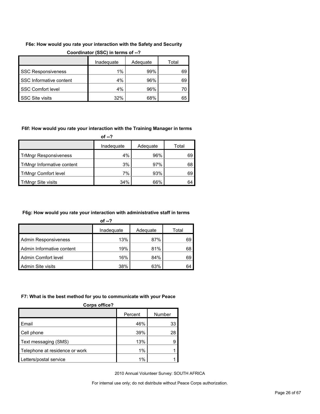## **F6e: How would you rate your interaction with the Safety and Security**

|                           | Inadequate | Adequate | Total |
|---------------------------|------------|----------|-------|
| <b>SSC Responsiveness</b> | $1\%$      | 99%      | 69    |
| SSC Informative content   | 4%         | 96%      | 69    |
| <b>SSC Comfort level</b>  | 4%         | 96%      |       |
| <b>SSC Site visits</b>    | 32%        | 68%      | 65    |

#### **Coordinator (SSC) in terms of --?**

#### **F6f: How would you rate your interaction with the Training Manager in terms**

**of --?**

|                              | Inadequate | Adequate | Total |
|------------------------------|------------|----------|-------|
| <b>TrMngr Responsiveness</b> | 4%         | 96%      | 69    |
| TrMngr Informative content   | 3%         | 97%      | 68    |
| <b>TrMngr Comfort level</b>  | 7%         | 93%      | 69    |
| <b>TrMngr Site visits</b>    | 34%        | 66%      | 64    |

#### **F6g: How would you rate your interaction with administrative staff in terms**

| of $-2$                     |            |          |       |
|-----------------------------|------------|----------|-------|
|                             | Inadequate | Adequate | Total |
| <b>Admin Responsiveness</b> | 13%        | 87%      | 69    |
| Admin Informative content   | 19%        | 81%      | 68    |
| Admin Comfort level         | 16%        | 84%      | 69    |
| Admin Site visits           | 38%        | 63%      | 64    |

#### **F7: What is the best method for you to communicate with your Peace**

| <b>Corps office?</b>           |         |        |
|--------------------------------|---------|--------|
|                                | Percent | Number |
| Email                          | 46%     | 33     |
| Cell phone                     | 39%     | 28     |
| Text messaging (SMS)           | 13%     | 9      |
| Telephone at residence or work | 1%      |        |
| Letters/postal service         | 1%      |        |

2010 Annual Volunteer Survey: SOUTH AFRICA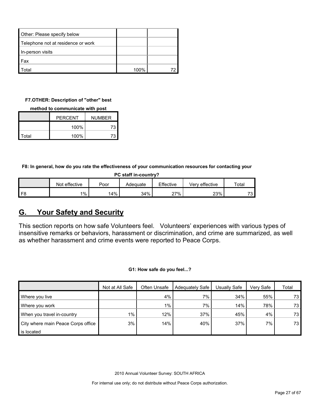| Other: Please specify below        |      |  |
|------------------------------------|------|--|
| Telephone not at residence or work |      |  |
| In-person visits                   |      |  |
| Fax                                |      |  |
| otal                               | 100% |  |

#### **F7.OTHER: Description of "other" best**

#### **method to communicate with post**

|       | <b>PFRCFNT</b> | <b>NUMBER</b> |
|-------|----------------|---------------|
|       | 100%           | 73            |
| Total | 100%           | 73            |

**F8: In general, how do you rate the effectiveness of your communication resources for contacting your** 

| PC staff in-country?                                                            |       |     |     |     |     |    |  |
|---------------------------------------------------------------------------------|-------|-----|-----|-----|-----|----|--|
| Not effective<br>Effective<br>Very effective<br>$\tau$ otal<br>Poor<br>Adeguate |       |     |     |     |     |    |  |
| F8                                                                              | $1\%$ | 14% | 34% | 27% | 23% | 70 |  |

## <span id="page-26-0"></span>**G. Your Safety and Security**

This section reports on how safe Volunteers feel. Volunteers' experiences with various types of insensitive remarks or behaviors, harassment or discrimination, and crime are summarized, as well as whether harassment and crime events were reported to Peace Corps.

**G1: How safe do you feel...?**

|                                    | Not at All Safe | Often Unsafe | Adequately Safe | Usually Safe | Very Safe | Total |
|------------------------------------|-----------------|--------------|-----------------|--------------|-----------|-------|
| Where you live                     |                 | 4%           | $7\%$           | 34%          | 55%       | 73    |
| Where you work                     |                 | 1%           | 7%              | 14%          | 78%       | 73    |
| When you travel in-country         | $1\%$           | 12%          | 37%             | 45%          | 4%        | 73    |
| City where main Peace Corps office | 3%              | 14%          | 40%             | 37%          | $7\%$     | 73    |
| is located                         |                 |              |                 |              |           |       |

2010 Annual Volunteer Survey: SOUTH AFRICA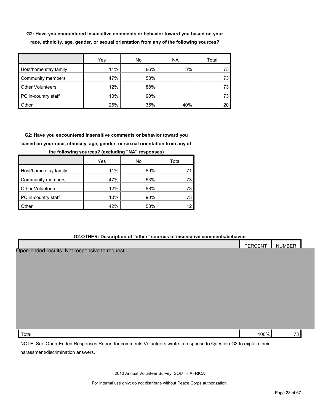**G2: Have you encountered insensitive comments or behavior toward you based on your race, ethnicity, age, gender, or sexual orientation from any of the following sources?**

|                         | Yes | No  | <b>NA</b> | Total |
|-------------------------|-----|-----|-----------|-------|
| Host/home stay family   | 11% | 86% | 3%        |       |
| Community members       | 47% | 53% |           |       |
| <b>Other Volunteers</b> | 12% | 88% |           |       |
| PC in-country staff     | 10% | 90% |           |       |
| Other                   | 25% | 35% | 40%       |       |

**G2: Have you encountered insensitive comments or behavior toward you based on your race, ethnicity, age, gender, or sexual orientation from any of** 

|                         | Yes | No  | Total |
|-------------------------|-----|-----|-------|
| Host/home stay family   | 11% | 89% |       |
| Community members       | 47% | 53% | 73    |
| <b>Other Volunteers</b> | 12% | 88% | 73    |
| PC in-country staff     | 10% | 90% | 73    |
| Other                   | 42% | 58% | 12    |

**the following sources? (excluding "NA" responses)**

#### **G2.OTHER: Description of "other" sources of insensitive comments/behavior**

|                                                                                                                 | <b>PERCENT</b> | <b>NUMBER</b> |  |
|-----------------------------------------------------------------------------------------------------------------|----------------|---------------|--|
| Open-ended results. Not responsive to request.                                                                  |                |               |  |
|                                                                                                                 |                |               |  |
|                                                                                                                 |                |               |  |
|                                                                                                                 |                |               |  |
|                                                                                                                 |                |               |  |
|                                                                                                                 |                |               |  |
|                                                                                                                 |                |               |  |
|                                                                                                                 |                |               |  |
|                                                                                                                 |                |               |  |
| Total                                                                                                           | 100%           | 73            |  |
| NOTE: See Open-Ended Responses Report for comments Volunteers wrote in response to Question G3 to explain their |                |               |  |

harassment/discrimination answers.

2010 Annual Volunteer Survey: SOUTH AFRICA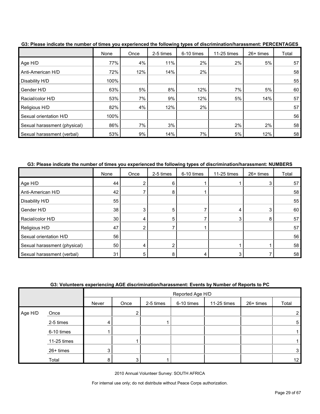|                              | None | Once | 2-5 times | 6-10 times | 11-25 times | 26+ times | Total |
|------------------------------|------|------|-----------|------------|-------------|-----------|-------|
| Age H/D                      | 77%  | 4%   | 11%       | 2%         | 2%          | 5%        | 57    |
| Anti-American H/D            | 72%  | 12%  | 14%       | 2%         |             |           | 58    |
| Disability H/D               | 100% |      |           |            |             |           | 55    |
| Gender H/D                   | 63%  | 5%   | 8%        | 12%        | 7%          | 5%        | 60    |
| Racial/color H/D             | 53%  | 7%   | 9%        | 12%        | 5%          | 14%       | 57    |
| Religious H/D                | 82%  | 4%   | 12%       | 2%         |             |           | 57    |
| Sexual orientation H/D       | 100% |      |           |            |             |           | 56    |
| Sexual harassment (physical) | 86%  | 7%   | 3%        |            | 2%          | 2%        | 58    |
| Sexual harassment (verbal)   | 53%  | 9%   | 14%       | 7%         | 5%          | 12%       | 58    |

**G3: Please indicate the number of times you experienced the following types of discrimination/harassment: PERCENTAGES**

**G3: Please indicate the number of times you experienced the following types of discrimination/harassment: NUMBERS**

|                              | None | Once | 2-5 times | 6-10 times | 11-25 times | 26+ times | Total |
|------------------------------|------|------|-----------|------------|-------------|-----------|-------|
| Age H/D                      | 44   |      |           |            |             | 3         | 57    |
| Anti-American H/D            | 42   |      | 8         |            |             |           | 58    |
| Disability H/D               | 55   |      |           |            |             |           | 55    |
| Gender H/D                   | 38   | 3    | 5         |            | 4           | 3         | 60    |
| Racial/color H/D             | 30   | 4    | 5         |            | 3           | 8         | 57    |
| Religious H/D                | 47   |      |           |            |             |           | 57    |
| Sexual orientation H/D       | 56   |      |           |            |             |           | 56    |
| Sexual harassment (physical) | 50   | 4    |           |            |             |           | 58    |
| Sexual harassment (verbal)   | 31   |      |           |            |             |           | 58    |

|  | G3: Volunteers experiencing AGE discrimination/harassment: Events by Number of Reports to PC |  |  |
|--|----------------------------------------------------------------------------------------------|--|--|
|  |                                                                                              |  |  |

|         |             |       | Reported Age H/D |           |            |             |           |       |
|---------|-------------|-------|------------------|-----------|------------|-------------|-----------|-------|
|         |             | Never | Once             | 2-5 times | 6-10 times | 11-25 times | 26+ times | Total |
| Age H/D | Once        |       | ∩                |           |            |             |           | 2     |
|         | 2-5 times   | 4     |                  |           |            |             |           | 5     |
|         | 6-10 times  |       |                  |           |            |             |           |       |
|         | 11-25 times |       |                  |           |            |             |           |       |
|         | 26+ times   | 3     |                  |           |            |             |           | 3     |
|         | Total       | 8     | 2                |           |            |             |           | 12    |

2010 Annual Volunteer Survey: SOUTH AFRICA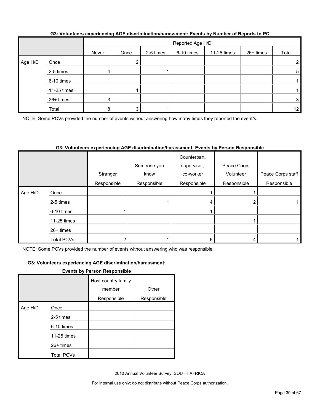|         |             |                | Reported Age H/D |           |            |             |           |                 |
|---------|-------------|----------------|------------------|-----------|------------|-------------|-----------|-----------------|
|         |             | Never          | Once             | 2-5 times | 6-10 times | 11-25 times | 26+ times | Total           |
| Age H/D | Once        |                |                  |           |            |             |           | $\overline{2}$  |
|         | 2-5 times   | 4              |                  |           |            |             |           | 5               |
|         | 6-10 times  |                |                  |           |            |             |           |                 |
|         | 11-25 times |                |                  |           |            |             |           |                 |
|         | 26+ times   | 3 <sup>1</sup> |                  |           |            |             |           | 3 <sub>l</sub>  |
|         | Total       | 8              |                  |           |            |             |           | 12 <sub>1</sub> |

#### **G3: Volunteers experiencing AGE discrimination/harassment: Events by Number of Reports to PC**

NOTE: Some PCVs provided the number of events without answering how many times they reported the event/s.

#### **G3: Volunteers experiencing AGE discrimination/harassment: Events by Person Responsible**

|         |             | Stranger    | Someone you<br>know | Counterpart,<br>supervisor,<br>co-worker | Peace Corps<br>Volunteer | Peace Corps staff |
|---------|-------------|-------------|---------------------|------------------------------------------|--------------------------|-------------------|
|         |             | Responsible | Responsible         | Responsible                              | Responsible              | Responsible       |
| Age H/D | Once        |             |                     |                                          |                          |                   |
|         | 2-5 times   |             |                     |                                          | ◠                        |                   |
|         | 6-10 times  |             |                     |                                          |                          |                   |
|         | 11-25 times |             |                     |                                          |                          |                   |
|         | $26+$ times |             |                     |                                          |                          |                   |
|         | Total PCVs  |             |                     |                                          |                          |                   |

NOTE: Some PCVs provided the number of events without answering who was responsible.

#### **G3: Volunteers experiencing AGE discrimination/harassment:**

#### **Events by Person Responsible**

|         |                   | Host country family<br>member | Other       |
|---------|-------------------|-------------------------------|-------------|
|         |                   | Responsible                   | Responsible |
| Age H/D | Once              |                               |             |
|         | 2-5 times         |                               |             |
|         | 6-10 times        |                               |             |
|         | 11-25 times       |                               |             |
|         | $26+$ times       |                               |             |
|         | <b>Total PCVs</b> |                               |             |

2010 Annual Volunteer Survey: SOUTH AFRICA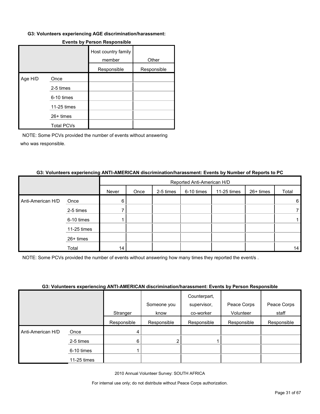#### **G3: Volunteers experiencing AGE discrimination/harassment:**

|         |                   | Host country family<br>member | Other       |
|---------|-------------------|-------------------------------|-------------|
|         |                   | Responsible                   | Responsible |
| Age H/D | Once              |                               |             |
|         | 2-5 times         |                               |             |
|         | 6-10 times        |                               |             |
|         | 11-25 times       |                               |             |
|         | 26+ times         |                               |             |
|         | <b>Total PCVs</b> |                               |             |

#### **Events by Person Responsible**

NOTE: Some PCVs provided the number of events without answering who was responsible.

#### **G3: Volunteers experiencing ANTI-AMERICAN discrimination/harassment: Events by Number of Reports to PC**

|                   |             |       | Reported Anti-American H/D |           |            |             |           |       |  |
|-------------------|-------------|-------|----------------------------|-----------|------------|-------------|-----------|-------|--|
|                   |             | Never | Once                       | 2-5 times | 6-10 times | 11-25 times | 26+ times | Total |  |
| Anti-American H/D | Once        | 6     |                            |           |            |             |           | 6     |  |
|                   | 2-5 times   |       |                            |           |            |             |           |       |  |
|                   | 6-10 times  |       |                            |           |            |             |           |       |  |
|                   | 11-25 times |       |                            |           |            |             |           |       |  |
|                   | 26+ times   |       |                            |           |            |             |           |       |  |
|                   | Total       | 14    |                            |           |            |             |           | 14    |  |

NOTE: Some PCVs provided the number of events without answering how many times they reported the event/s .

#### **G3: Volunteers experiencing ANTI-AMERICAN discrimination/harassment: Events by Person Responsible**

|                   |             | Stranger    | Someone you<br>know | Counterpart,<br>supervisor,<br>co-worker | Peace Corps<br>Volunteer | Peace Corps<br>staff |
|-------------------|-------------|-------------|---------------------|------------------------------------------|--------------------------|----------------------|
|                   |             |             |                     |                                          |                          |                      |
|                   |             | Responsible | Responsible         | Responsible                              | Responsible              | Responsible          |
| Anti-American H/D | Once        | 4           |                     |                                          |                          |                      |
|                   | 2-5 times   | 6           | 2                   |                                          |                          |                      |
|                   | 6-10 times  |             |                     |                                          |                          |                      |
|                   | 11-25 times |             |                     |                                          |                          |                      |

2010 Annual Volunteer Survey: SOUTH AFRICA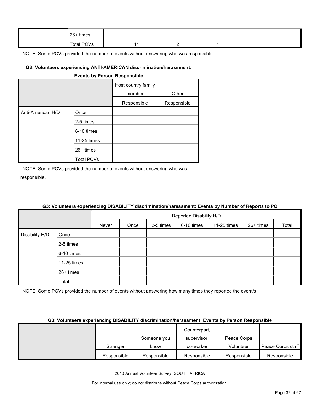| 26+ times         |   |  |  |
|-------------------|---|--|--|
| <b>Total PCVs</b> | - |  |  |

### **G3: Volunteers experiencing ANTI-AMERICAN discrimination/harassment:**

#### **Events by Person Responsible**

|                   |                   | Host country family<br>member | Other       |
|-------------------|-------------------|-------------------------------|-------------|
|                   |                   | Responsible                   | Responsible |
| Anti-American H/D | Once              |                               |             |
|                   | 2-5 times         |                               |             |
|                   | 6-10 times        |                               |             |
|                   | 11-25 times       |                               |             |
|                   | 26+ times         |                               |             |
|                   | <b>Total PCVs</b> |                               |             |

NOTE: Some PCVs provided the number of events without answering who was responsible.

| G3: Volunteers experiencing DISABILITY discrimination/harassment: Events by Number of Reports to PC |  |
|-----------------------------------------------------------------------------------------------------|--|
|-----------------------------------------------------------------------------------------------------|--|

|                |             |       | Reported Disability H/D |           |            |             |           |       |  |
|----------------|-------------|-------|-------------------------|-----------|------------|-------------|-----------|-------|--|
|                |             | Never | Once                    | 2-5 times | 6-10 times | 11-25 times | 26+ times | Total |  |
| Disability H/D | Once        |       |                         |           |            |             |           |       |  |
|                | 2-5 times   |       |                         |           |            |             |           |       |  |
|                | 6-10 times  |       |                         |           |            |             |           |       |  |
|                | 11-25 times |       |                         |           |            |             |           |       |  |
|                | 26+ times   |       |                         |           |            |             |           |       |  |
|                | Total       |       |                         |           |            |             |           |       |  |

NOTE: Some PCVs provided the number of events without answering how many times they reported the event/s .

#### **G3: Volunteers experiencing DISABILITY discrimination/harassment: Events by Person Responsible**

|             |             | Counterpart, |             |                   |
|-------------|-------------|--------------|-------------|-------------------|
|             | Someone you | supervisor,  | Peace Corps |                   |
| Stranger    | know        | co-worker    | Volunteer   | Peace Corps staff |
| Responsible | Responsible | Responsible  | Responsible | Responsible       |

2010 Annual Volunteer Survey: SOUTH AFRICA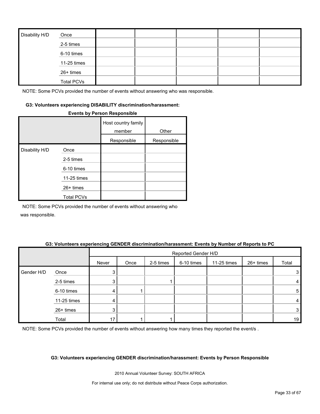| Disability H/D | Once              |  |  |  |
|----------------|-------------------|--|--|--|
|                | 2-5 times         |  |  |  |
|                | 6-10 times        |  |  |  |
|                | 11-25 times       |  |  |  |
|                | 26+ times         |  |  |  |
|                | <b>Total PCVs</b> |  |  |  |

#### **G3: Volunteers experiencing DISABILITY discrimination/harassment:**

#### **Events by Person Responsible**

|                |                   | Host country family<br>member | Other       |
|----------------|-------------------|-------------------------------|-------------|
|                |                   | Responsible                   | Responsible |
| Disability H/D | Once              |                               |             |
|                | 2-5 times         |                               |             |
|                | 6-10 times        |                               |             |
|                | 11-25 times       |                               |             |
|                | $26+$ times       |                               |             |
|                | <b>Total PCVs</b> |                               |             |

NOTE: Some PCVs provided the number of events without answering who was responsible.

#### **G3: Volunteers experiencing GENDER discrimination/harassment: Events by Number of Reports to PC**

|            |             |       | Reported Gender H/D |           |            |             |           |       |
|------------|-------------|-------|---------------------|-----------|------------|-------------|-----------|-------|
|            |             | Never | Once                | 2-5 times | 6-10 times | 11-25 times | 26+ times | Total |
| Gender H/D | Once        | 3     |                     |           |            |             |           | 3     |
|            | 2-5 times   | 3     |                     |           |            |             |           | 4     |
|            | 6-10 times  | 4     |                     |           |            |             |           | 5     |
|            | 11-25 times |       |                     |           |            |             |           | 4     |
|            | 26+ times   | 3     |                     |           |            |             |           | 3     |
|            | Total       | 17    |                     |           |            |             |           | 19    |

NOTE: Some PCVs provided the number of events without answering how many times they reported the event/s.

#### **G3: Volunteers experiencing GENDER discrimination/harassment: Events by Person Responsible**

2010 Annual Volunteer Survey: SOUTH AFRICA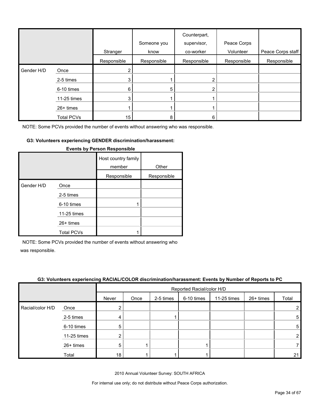|            |                   | Stranger    | Someone you<br>know | Counterpart,<br>supervisor,<br>co-worker | Peace Corps<br>Volunteer | Peace Corps staff |
|------------|-------------------|-------------|---------------------|------------------------------------------|--------------------------|-------------------|
|            |                   | Responsible | Responsible         | Responsible                              | Responsible              | Responsible       |
| Gender H/D | Once              |             |                     |                                          |                          |                   |
|            | 2-5 times         |             |                     |                                          |                          |                   |
|            | 6-10 times        | 6           | 5                   |                                          |                          |                   |
|            | 11-25 times       | 3           |                     |                                          |                          |                   |
|            | $26+$ times       |             |                     |                                          |                          |                   |
|            | <b>Total PCVs</b> | 15          | 8                   | 6                                        |                          |                   |

## **G3: Volunteers experiencing GENDER discrimination/harassment:**

|            |                   | Host country family<br>member | Other       |
|------------|-------------------|-------------------------------|-------------|
|            |                   | Responsible                   | Responsible |
| Gender H/D | Once              |                               |             |
|            | 2-5 times         |                               |             |
|            | 6-10 times        |                               |             |
|            | 11-25 times       |                               |             |
|            | $26+$ times       |                               |             |
|            | <b>Total PCVs</b> |                               |             |

#### **Events by Person Responsible**

NOTE: Some PCVs provided the number of events without answering who

was responsible.

| G3: Volunteers experiencing RACIAL/COLOR discrimination/harassment: Events by Number of Reports to PC |
|-------------------------------------------------------------------------------------------------------|
|                                                                                                       |

|                  |             | Reported Racial/color H/D |      |           |            |             |           |       |
|------------------|-------------|---------------------------|------|-----------|------------|-------------|-----------|-------|
|                  |             | Never                     | Once | 2-5 times | 6-10 times | 11-25 times | 26+ times | Total |
| Racial/color H/D | Once        |                           |      |           |            |             |           | ⌒     |
|                  | 2-5 times   | 4                         |      |           |            |             |           | 5     |
|                  | 6-10 times  | 5                         |      |           |            |             |           | 5     |
|                  | 11-25 times | റ                         |      |           |            |             |           |       |
|                  | 26+ times   | 5                         |      |           |            |             |           |       |
|                  | Total       | 18                        |      |           |            |             |           | 21    |

2010 Annual Volunteer Survey: SOUTH AFRICA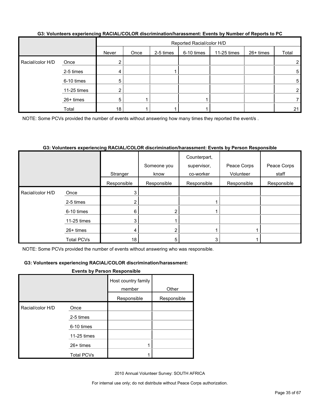|  |  | G3: Volunteers experiencing RACIAL/COLOR discrimination/harassment: Events by Number of Reports to PC |  |
|--|--|-------------------------------------------------------------------------------------------------------|--|
|--|--|-------------------------------------------------------------------------------------------------------|--|

|                  |             |       | Reported Racial/color H/D |           |            |             |           |                |
|------------------|-------------|-------|---------------------------|-----------|------------|-------------|-----------|----------------|
|                  |             | Never | Once                      | 2-5 times | 6-10 times | 11-25 times | 26+ times | Total          |
| Racial/color H/D | Once        |       |                           |           |            |             |           | $\overline{2}$ |
|                  | 2-5 times   |       |                           |           |            |             |           | 5              |
|                  | 6-10 times  | 5     |                           |           |            |             |           | 5              |
|                  | 11-25 times |       |                           |           |            |             |           |                |
|                  | 26+ times   | 5     |                           |           |            |             |           |                |
|                  | Total       | 18    |                           |           |            |             |           | 21             |

NOTE: Some PCVs provided the number of events without answering how many times they reported the event/s .

#### **G3: Volunteers experiencing RACIAL/COLOR discrimination/harassment: Events by Person Responsible**

|                  |                   | Stranger    | Someone you<br>know | Counterpart,<br>supervisor,<br>co-worker | Peace Corps<br>Volunteer | Peace Corps<br>staff |
|------------------|-------------------|-------------|---------------------|------------------------------------------|--------------------------|----------------------|
|                  |                   | Responsible | Responsible         | Responsible                              | Responsible              | Responsible          |
| Racial/color H/D | Once              |             |                     |                                          |                          |                      |
|                  | 2-5 times         |             |                     |                                          |                          |                      |
|                  | 6-10 times        | 6           | ŋ                   |                                          |                          |                      |
|                  | 11-25 times       |             |                     |                                          |                          |                      |
|                  | $26+$ times       |             |                     |                                          |                          |                      |
|                  | <b>Total PCVs</b> | 18          | 5                   | 3                                        |                          |                      |

NOTE: Some PCVs provided the number of events without answering who was responsible.

#### **G3: Volunteers experiencing RACIAL/COLOR discrimination/harassment:**

#### **Events by Person Responsible**

|                  |                   | Host country family<br>member | Other       |
|------------------|-------------------|-------------------------------|-------------|
|                  |                   | Responsible                   | Responsible |
| Racial/color H/D | Once              |                               |             |
|                  | 2-5 times         |                               |             |
|                  | 6-10 times        |                               |             |
|                  | 11-25 times       |                               |             |
|                  | $26+$ times       |                               |             |
|                  | <b>Total PCVs</b> |                               |             |

2010 Annual Volunteer Survey: SOUTH AFRICA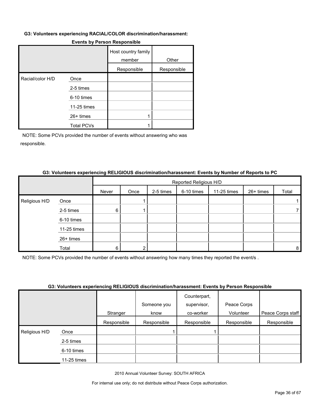#### **G3: Volunteers experiencing RACIAL/COLOR discrimination/harassment:**

|                  |                   | Host country family<br>member | Other       |
|------------------|-------------------|-------------------------------|-------------|
|                  |                   | Responsible                   | Responsible |
| Racial/color H/D | Once              |                               |             |
|                  | 2-5 times         |                               |             |
|                  | 6-10 times        |                               |             |
|                  | 11-25 times       |                               |             |
|                  | $26+$ times       |                               |             |
|                  | <b>Total PCVs</b> |                               |             |

#### **Events by Person Responsible**

NOTE: Some PCVs provided the number of events without answering who was responsible.

#### **G3: Volunteers experiencing RELIGIOUS discrimination/harassment: Events by Number of Reports to PC**

|               |             | Reported Religious H/D |      |           |            |             |           |       |
|---------------|-------------|------------------------|------|-----------|------------|-------------|-----------|-------|
|               |             | Never                  | Once | 2-5 times | 6-10 times | 11-25 times | 26+ times | Total |
| Religious H/D | Once        |                        |      |           |            |             |           |       |
|               | 2-5 times   | 6                      |      |           |            |             |           |       |
|               | 6-10 times  |                        |      |           |            |             |           |       |
|               | 11-25 times |                        |      |           |            |             |           |       |
|               | 26+ times   |                        |      |           |            |             |           |       |
|               | Total       | 6                      |      |           |            |             |           | 8     |

NOTE: Some PCVs provided the number of events without answering how many times they reported the event/s .

#### **G3: Volunteers experiencing RELIGIOUS discrimination/harassment: Events by Person Responsible**

|                    | <u>aal taluusala suballallalla laineetaa alaaluulluustalluu usallialla myössä alaallisaaballalla</u> |             |             |              |             |                   |
|--------------------|------------------------------------------------------------------------------------------------------|-------------|-------------|--------------|-------------|-------------------|
|                    |                                                                                                      |             |             | Counterpart, |             |                   |
|                    |                                                                                                      |             | Someone you | supervisor,  | Peace Corps |                   |
|                    |                                                                                                      | Stranger    | know        | co-worker    | Volunteer   | Peace Corps staff |
|                    |                                                                                                      | Responsible | Responsible | Responsible  | Responsible | Responsible       |
| Religious H/D<br>I | Once                                                                                                 |             |             |              |             |                   |
|                    | 2-5 times                                                                                            |             |             |              |             |                   |
|                    | 6-10 times                                                                                           |             |             |              |             |                   |
|                    | 11-25 times                                                                                          |             |             |              |             |                   |

2010 Annual Volunteer Survey: SOUTH AFRICA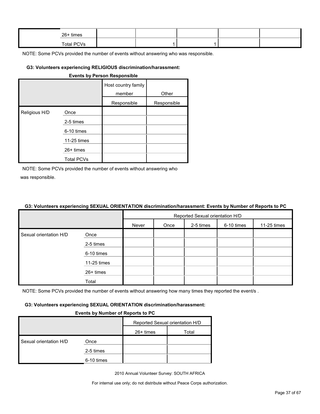| $26+$ times |  |  |  |
|-------------|--|--|--|
| Total PCVs  |  |  |  |

#### **G3: Volunteers experiencing RELIGIOUS discrimination/harassment:**

| <b>Events by Person Responsible</b> |                   |                               |             |  |  |  |  |
|-------------------------------------|-------------------|-------------------------------|-------------|--|--|--|--|
|                                     |                   | Host country family<br>member | Other       |  |  |  |  |
|                                     |                   | Responsible                   | Responsible |  |  |  |  |
| Religious H/D                       | Once              |                               |             |  |  |  |  |
|                                     | 2-5 times         |                               |             |  |  |  |  |
|                                     | 6-10 times        |                               |             |  |  |  |  |
|                                     | 11-25 times       |                               |             |  |  |  |  |
|                                     | $26+$ times       |                               |             |  |  |  |  |
|                                     | <b>Total PCVs</b> |                               |             |  |  |  |  |

NOTE: Some PCVs provided the number of events without answering who was responsible.

#### **G3: Volunteers experiencing SEXUAL ORIENTATION discrimination/harassment: Events by Number of Reports to PC**

|                        |             | Reported Sexual orientation H/D |      |           |            |             |  |
|------------------------|-------------|---------------------------------|------|-----------|------------|-------------|--|
|                        |             | Never                           | Once | 2-5 times | 6-10 times | 11-25 times |  |
| Sexual orientation H/D | Once        |                                 |      |           |            |             |  |
|                        | 2-5 times   |                                 |      |           |            |             |  |
|                        | 6-10 times  |                                 |      |           |            |             |  |
|                        | 11-25 times |                                 |      |           |            |             |  |
|                        | 26+ times   |                                 |      |           |            |             |  |
|                        | Total       |                                 |      |           |            |             |  |

NOTE: Some PCVs provided the number of events without answering how many times they reported the event/s.

#### **G3: Volunteers experiencing SEXUAL ORIENTATION discrimination/harassment:**

#### **Events by Number of Reports to PC**

|                        |            | Reported Sexual orientation H/D |       |  |  |
|------------------------|------------|---------------------------------|-------|--|--|
|                        |            | $26+$ times                     | Total |  |  |
| Sexual orientation H/D | Once       |                                 |       |  |  |
|                        | 2-5 times  |                                 |       |  |  |
|                        | 6-10 times |                                 |       |  |  |

2010 Annual Volunteer Survey: SOUTH AFRICA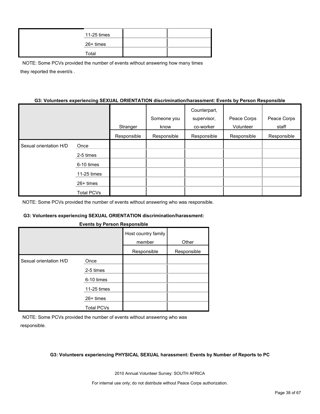| 11-25 times |  |
|-------------|--|
| 26+ times   |  |
| Total       |  |

NOTE: Some PCVs provided the number of events without answering how many times they reported the event/s .

#### **G3: Volunteers experiencing SEXUAL ORIENTATION discrimination/harassment: Events by Person Responsible**

|                        |                   |             |             | Counterpart, |             |             |
|------------------------|-------------------|-------------|-------------|--------------|-------------|-------------|
|                        |                   |             | Someone you | supervisor,  | Peace Corps | Peace Corps |
|                        |                   | Stranger    | know        | co-worker    | Volunteer   | staff       |
|                        |                   | Responsible | Responsible | Responsible  | Responsible | Responsible |
| Sexual orientation H/D | Once              |             |             |              |             |             |
|                        | 2-5 times         |             |             |              |             |             |
|                        | 6-10 times        |             |             |              |             |             |
|                        | 11-25 times       |             |             |              |             |             |
|                        | $26+$ times       |             |             |              |             |             |
|                        | <b>Total PCVs</b> |             |             |              |             |             |

NOTE: Some PCVs provided the number of events without answering who was responsible.

#### **G3: Volunteers experiencing SEXUAL ORIENTATION discrimination/harassment:**

#### **Events by Person Responsible**

|                        |                   | Host country family<br>member | Other       |
|------------------------|-------------------|-------------------------------|-------------|
|                        |                   | Responsible                   | Responsible |
| Sexual orientation H/D | Once              |                               |             |
|                        | 2-5 times         |                               |             |
|                        | 6-10 times        |                               |             |
|                        | 11-25 times       |                               |             |
|                        | $26+$ times       |                               |             |
|                        | <b>Total PCVs</b> |                               |             |

NOTE: Some PCVs provided the number of events without answering who was responsible.

#### **G3: Volunteers experiencing PHYSICAL SEXUAL harassment: Events by Number of Reports to PC**

2010 Annual Volunteer Survey: SOUTH AFRICA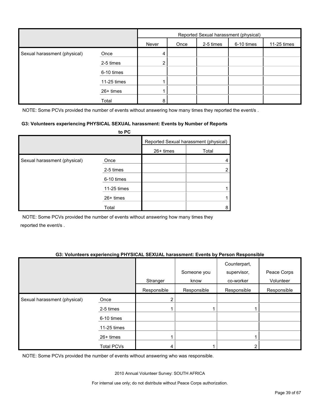|                              |             | Reported Sexual harassment (physical) |      |           |            |             |
|------------------------------|-------------|---------------------------------------|------|-----------|------------|-------------|
|                              |             | Never                                 | Once | 2-5 times | 6-10 times | 11-25 times |
| Sexual harassment (physical) | Once        | 4                                     |      |           |            |             |
|                              | 2-5 times   | 2                                     |      |           |            |             |
|                              | 6-10 times  |                                       |      |           |            |             |
|                              | 11-25 times |                                       |      |           |            |             |
|                              | 26+ times   |                                       |      |           |            |             |
|                              | Total       | 8                                     |      |           |            |             |

NOTE: Some PCVs provided the number of events without answering how many times they reported the event/s.

#### **G3: Volunteers experiencing PHYSICAL SEXUAL harassment: Events by Number of Reports**

|                              | to PC       |           |                                       |
|------------------------------|-------------|-----------|---------------------------------------|
|                              |             |           | Reported Sexual harassment (physical) |
|                              |             | 26+ times | Total                                 |
| Sexual harassment (physical) | Once        |           |                                       |
|                              | 2-5 times   |           | 2                                     |
|                              | 6-10 times  |           |                                       |
|                              | 11-25 times |           |                                       |
|                              | $26+$ times |           |                                       |
|                              | Total       |           | 8                                     |

NOTE: Some PCVs provided the number of events without answering how many times they reported the event/s .

#### **G3: Volunteers experiencing PHYSICAL SEXUAL harassment: Events by Person Responsible**

|                              |                   |             | Someone you | Counterpart,<br>supervisor, | Peace Corps |
|------------------------------|-------------------|-------------|-------------|-----------------------------|-------------|
|                              |                   | Stranger    | know        | co-worker                   | Volunteer   |
|                              |                   | Responsible | Responsible | Responsible                 | Responsible |
| Sexual harassment (physical) | Once              | ົ           |             |                             |             |
|                              | 2-5 times         |             |             |                             |             |
|                              | 6-10 times        |             |             |                             |             |
|                              | 11-25 times       |             |             |                             |             |
|                              | 26+ times         |             |             |                             |             |
|                              | <b>Total PCVs</b> | 4           |             |                             |             |

NOTE: Some PCVs provided the number of events without answering who was responsible.

2010 Annual Volunteer Survey: SOUTH AFRICA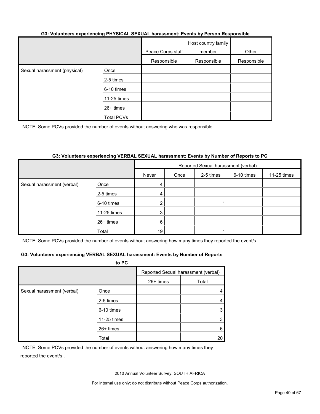#### **G3: Volunteers experiencing PHYSICAL SEXUAL harassment: Events by Person Responsible**

|                              |                   | Peace Corps staff | Host country family<br>member | Other       |
|------------------------------|-------------------|-------------------|-------------------------------|-------------|
|                              |                   | Responsible       | Responsible                   | Responsible |
| Sexual harassment (physical) | Once              |                   |                               |             |
|                              | 2-5 times         |                   |                               |             |
|                              | 6-10 times        |                   |                               |             |
|                              | 11-25 times       |                   |                               |             |
|                              | 26+ times         |                   |                               |             |
|                              | <b>Total PCVs</b> |                   |                               |             |

NOTE: Some PCVs provided the number of events without answering who was responsible.

#### **G3: Volunteers experiencing VERBAL SEXUAL harassment: Events by Number of Reports to PC**

|                            |             | Reported Sexual harassment (verbal) |      |           |            |             |
|----------------------------|-------------|-------------------------------------|------|-----------|------------|-------------|
|                            |             | Never                               | Once | 2-5 times | 6-10 times | 11-25 times |
| Sexual harassment (verbal) | Once        | 4                                   |      |           |            |             |
|                            | 2-5 times   | 4                                   |      |           |            |             |
|                            | 6-10 times  | 2 <sub>1</sub>                      |      |           |            |             |
|                            | 11-25 times | 3                                   |      |           |            |             |
|                            | 26+ times   | 6                                   |      |           |            |             |
|                            | Total       | 19                                  |      |           |            |             |

NOTE: Some PCVs provided the number of events without answering how many times they reported the event/s.

#### **G3: Volunteers experiencing VERBAL SEXUAL harassment: Events by Number of Reports**

|                            | to PC       |                                     |       |
|----------------------------|-------------|-------------------------------------|-------|
|                            |             | Reported Sexual harassment (verbal) |       |
|                            |             | 26+ times                           | Total |
| Sexual harassment (verbal) | Once        |                                     |       |
|                            | 2-5 times   |                                     |       |
|                            | 6-10 times  |                                     |       |
|                            | 11-25 times |                                     |       |
|                            | $26+$ times |                                     | 6     |
|                            | Total       |                                     | 20    |

NOTE: Some PCVs provided the number of events without answering how many times they reported the event/s .

2010 Annual Volunteer Survey: SOUTH AFRICA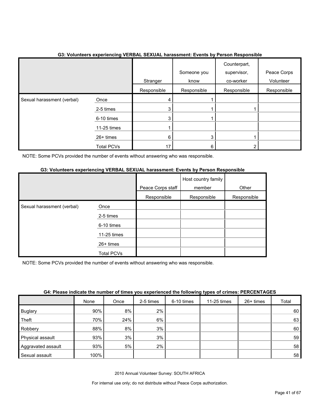|                            |                   | Stranger    | Someone you<br>know | Counterpart,<br>supervisor,<br>co-worker | Peace Corps<br>Volunteer |
|----------------------------|-------------------|-------------|---------------------|------------------------------------------|--------------------------|
|                            |                   | Responsible | Responsible         | Responsible                              | Responsible              |
| Sexual harassment (verbal) | Once              | 4           |                     |                                          |                          |
|                            | 2-5 times         | 3           |                     |                                          |                          |
|                            | 6-10 times        | 3           |                     |                                          |                          |
|                            | 11-25 times       |             |                     |                                          |                          |
|                            | $26+$ times       | 6           | 3                   |                                          |                          |
|                            | <b>Total PCVs</b> | 17          | 6                   |                                          |                          |

## **G3: Volunteers experiencing VERBAL SEXUAL harassment: Events by Person Responsible**

NOTE: Some PCVs provided the number of events without answering who was responsible.

#### **G3: Volunteers experiencing VERBAL SEXUAL harassment: Events by Person Responsible**

|                            |             | Peace Corps staff | Host country family<br>member | Other       |
|----------------------------|-------------|-------------------|-------------------------------|-------------|
|                            |             | Responsible       | Responsible                   | Responsible |
| Sexual harassment (verbal) | Once        |                   |                               |             |
|                            | 2-5 times   |                   |                               |             |
|                            | 6-10 times  |                   |                               |             |
|                            | 11-25 times |                   |                               |             |
|                            | $26+$ times |                   |                               |             |
|                            | Total PCVs  |                   |                               |             |

NOTE: Some PCVs provided the number of events without answering who was responsible.

| G4: Please indicate the number of times you experienced the following types of crimes: PERCENTAGES |  |  |
|----------------------------------------------------------------------------------------------------|--|--|
|----------------------------------------------------------------------------------------------------|--|--|

|                    | None | Once | 2-5 times | 6-10 times | 11-25 times | $26+$ times | Total |
|--------------------|------|------|-----------|------------|-------------|-------------|-------|
| <b>Buglary</b>     | 90%  | 8%   | 2%        |            |             |             | 60    |
| Theft              | 70%  | 24%  | 6%        |            |             |             | 63    |
| Robbery            | 88%  | 8%   | 3%        |            |             |             | 60    |
| Physical assault   | 93%  | 3%   | 3%        |            |             |             | 59    |
| Aggravated assault | 93%  | 5%   | 2%        |            |             |             | 58    |
| Sexual assault     | 100% |      |           |            |             |             | 58    |

2010 Annual Volunteer Survey: SOUTH AFRICA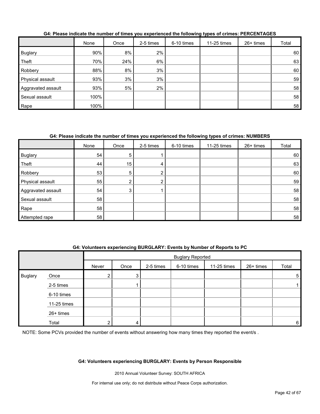|                    | None | Once | 2-5 times | 6-10 times | 11-25 times | $26+$ times | Total |
|--------------------|------|------|-----------|------------|-------------|-------------|-------|
| <b>Buglary</b>     | 90%  | 8%   | 2%        |            |             |             | 60    |
| Theft              | 70%  | 24%  | 6%        |            |             |             | 63    |
| Robbery            | 88%  | 8%   | 3%        |            |             |             | 60    |
| Physical assault   | 93%  | 3%   | 3%        |            |             |             | 59    |
| Aggravated assault | 93%  | 5%   | 2%        |            |             |             | 58    |
| Sexual assault     | 100% |      |           |            |             |             | 58    |
| Rape               | 100% |      |           |            |             |             | 58    |

#### **G4: Please indicate the number of times you experienced the following types of crimes: PERCENTAGES**

## **G4: Please indicate the number of times you experienced the following types of crimes: NUMBERS**

|                    | None | Once           | 2-5 times      | 6-10 times | 11-25 times | 26+ times | Total |
|--------------------|------|----------------|----------------|------------|-------------|-----------|-------|
| Buglary            | 54   | 5              |                |            |             |           | 60    |
| Theft              | 44   | 15             | 4              |            |             |           | 63    |
| Robbery            | 53   | 5              | $\overline{2}$ |            |             |           | 60    |
| Physical assault   | 55   | $\overline{2}$ | $\overline{2}$ |            |             |           | 59    |
| Aggravated assault | 54   | 3              |                |            |             |           | 58    |
| Sexual assault     | 58   |                |                |            |             |           | 58    |
| Rape               | 58   |                |                |            |             |           | 58    |
| Attempted rape     | 58   |                |                |            |             |           | 58    |

#### **G4: Volunteers experiencing BURGLARY: Events by Number of Reports to PC**

|                |             |         | <b>Buglary Reported</b> |           |            |               |           |       |
|----------------|-------------|---------|-------------------------|-----------|------------|---------------|-----------|-------|
|                |             | Never   | Once                    | 2-5 times | 6-10 times | $11-25$ times | 26+ times | Total |
| <b>Buglary</b> | Once        | ົ<br>∠∣ | 3                       |           |            |               |           | 5     |
|                | 2-5 times   |         |                         |           |            |               |           |       |
|                | 6-10 times  |         |                         |           |            |               |           |       |
|                | 11-25 times |         |                         |           |            |               |           |       |
|                | 26+ times   |         |                         |           |            |               |           |       |
|                | Total       | ົ       | 4                       |           |            |               |           | 6     |

NOTE: Some PCVs provided the number of events without answering how many times they reported the event/s.

#### **G4: Volunteers experiencing BURGLARY: Events by Person Responsible**

2010 Annual Volunteer Survey: SOUTH AFRICA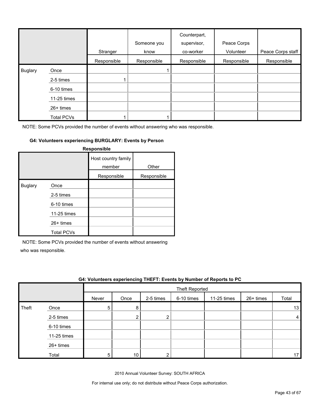|                |                   | Stranger    | Someone you<br>know | Counterpart,<br>supervisor,<br>co-worker | Peace Corps<br>Volunteer | Peace Corps staff |
|----------------|-------------------|-------------|---------------------|------------------------------------------|--------------------------|-------------------|
|                |                   | Responsible | Responsible         | Responsible                              | Responsible              | Responsible       |
| <b>Buglary</b> | Once              |             |                     |                                          |                          |                   |
|                | 2-5 times         |             |                     |                                          |                          |                   |
|                | 6-10 times        |             |                     |                                          |                          |                   |
|                | 11-25 times       |             |                     |                                          |                          |                   |
|                | 26+ times         |             |                     |                                          |                          |                   |
|                | <b>Total PCVs</b> |             |                     |                                          |                          |                   |

#### **G4: Volunteers experiencing BURGLARY: Events by Person**

| Responsible    |                   |                               |             |  |  |  |  |  |
|----------------|-------------------|-------------------------------|-------------|--|--|--|--|--|
|                |                   | Host country family<br>member | Other       |  |  |  |  |  |
|                |                   | Responsible                   | Responsible |  |  |  |  |  |
| <b>Buglary</b> | Once              |                               |             |  |  |  |  |  |
|                | 2-5 times         |                               |             |  |  |  |  |  |
|                | 6-10 times        |                               |             |  |  |  |  |  |
|                | 11-25 times       |                               |             |  |  |  |  |  |
|                | $26+$ times       |                               |             |  |  |  |  |  |
|                | <b>Total PCVs</b> |                               |             |  |  |  |  |  |

NOTE: Some PCVs provided the number of events without answering

who was responsible.

|       | G4: Volunteers experiencing THEFT: Events by Number of Reports to PC |       |      |           |                |             |             |       |  |
|-------|----------------------------------------------------------------------|-------|------|-----------|----------------|-------------|-------------|-------|--|
|       |                                                                      |       |      |           | Theft Reported |             |             |       |  |
|       |                                                                      | Never | Once | 2-5 times | 6-10 times     | 11-25 times | $26+$ times | Total |  |
| Theft | Once                                                                 | 5     | 8    |           |                |             |             | 13    |  |
|       | 2-5 times                                                            |       |      | ⌒         |                |             |             | 4     |  |
|       | 6-10 times                                                           |       |      |           |                |             |             |       |  |
|       | 11-25 times                                                          |       |      |           |                |             |             |       |  |
|       | 26+ times                                                            |       |      |           |                |             |             |       |  |
|       | Total                                                                | 5     | 10   |           |                |             |             | 17    |  |

2010 Annual Volunteer Survey: SOUTH AFRICA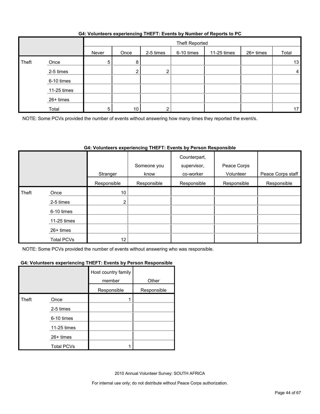| G4: Volunteers experiencing THEFT: Events by Number of Reports to PC |  |  |
|----------------------------------------------------------------------|--|--|
|                                                                      |  |  |

|       |             |       | Theft Reported |           |            |             |           |       |
|-------|-------------|-------|----------------|-----------|------------|-------------|-----------|-------|
|       |             | Never | Once           | 2-5 times | 6-10 times | 11-25 times | 26+ times | Total |
| Theft | Once        | 5     | 8              |           |            |             |           | 13    |
|       | 2-5 times   |       |                |           |            |             |           | 4     |
|       | 6-10 times  |       |                |           |            |             |           |       |
|       | 11-25 times |       |                |           |            |             |           |       |
|       | 26+ times   |       |                |           |            |             |           |       |
|       | Total       | 5     | 10             |           |            |             |           | 17    |

NOTE: Some PCVs provided the number of events without answering how many times they reported the event/s.

## **G4: Volunteers experiencing THEFT: Events by Person Responsible**

|       |                   |                 | Someone you | Counterpart,<br>supervisor, | Peace Corps |                   |
|-------|-------------------|-----------------|-------------|-----------------------------|-------------|-------------------|
|       |                   | Stranger        | know        | co-worker                   | Volunteer   | Peace Corps staff |
|       |                   | Responsible     | Responsible | Responsible                 | Responsible | Responsible       |
| Theft | Once              | 10 <sup>1</sup> |             |                             |             |                   |
|       | 2-5 times         | 2 <sub>1</sub>  |             |                             |             |                   |
|       | 6-10 times        |                 |             |                             |             |                   |
|       | 11-25 times       |                 |             |                             |             |                   |
|       | 26+ times         |                 |             |                             |             |                   |
|       | <b>Total PCVs</b> | 12              |             |                             |             |                   |

NOTE: Some PCVs provided the number of events without answering who was responsible.

#### **G4: Volunteers experiencing THEFT: Events by Person Responsible**

|       |                   | Host country family<br>member | Other       |
|-------|-------------------|-------------------------------|-------------|
|       |                   | Responsible                   | Responsible |
| Theft | Once              |                               |             |
|       | 2-5 times         |                               |             |
|       | 6-10 times        |                               |             |
|       | 11-25 times       |                               |             |
|       | 26+ times         |                               |             |
|       | <b>Total PCVs</b> |                               |             |

2010 Annual Volunteer Survey: SOUTH AFRICA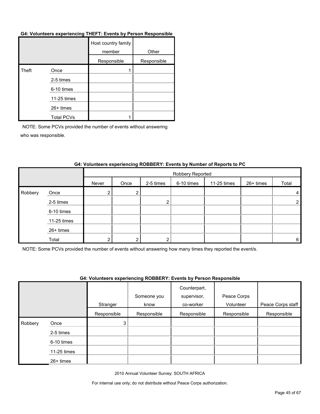#### **G4: Volunteers experiencing THEFT: Events by Person Responsible**

|       |                   | Host country family<br>member | Other       |
|-------|-------------------|-------------------------------|-------------|
|       |                   | Responsible                   | Responsible |
| Theft | Once              |                               |             |
|       | 2-5 times         |                               |             |
|       | 6-10 times        |                               |             |
|       | 11-25 times       |                               |             |
|       | $26+$ times       |                               |             |
|       | <b>Total PCVs</b> |                               |             |

NOTE: Some PCVs provided the number of events without answering who was responsible.

|         |             |       | Robbery Reported |           |            |             |           |                |  |
|---------|-------------|-------|------------------|-----------|------------|-------------|-----------|----------------|--|
|         |             | Never | Once             | 2-5 times | 6-10 times | 11-25 times | 26+ times | Total          |  |
| Robbery | Once        | 2     | ົ                |           |            |             |           | 4              |  |
|         | 2-5 times   |       |                  | ◠         |            |             |           | $\overline{2}$ |  |
|         | 6-10 times  |       |                  |           |            |             |           |                |  |
|         | 11-25 times |       |                  |           |            |             |           |                |  |
|         | 26+ times   |       |                  |           |            |             |           |                |  |
|         | Total       | ◠     |                  |           |            |             |           | 6              |  |

#### **G4: Volunteers experiencing ROBBERY: Events by Number of Reports to PC**

NOTE: Some PCVs provided the number of events without answering how many times they reported the event/s.

#### **G4: Volunteers experiencing ROBBERY: Events by Person Responsible**

|         |             |             | Someone you | Counterpart,<br>supervisor, | Peace Corps |                   |
|---------|-------------|-------------|-------------|-----------------------------|-------------|-------------------|
|         |             | Stranger    | know        | co-worker                   | Volunteer   | Peace Corps staff |
|         |             | Responsible | Responsible | Responsible                 | Responsible | Responsible       |
| Robbery | Once        | 3           |             |                             |             |                   |
|         | 2-5 times   |             |             |                             |             |                   |
|         | 6-10 times  |             |             |                             |             |                   |
|         | 11-25 times |             |             |                             |             |                   |
|         | 26+ times   |             |             |                             |             |                   |

2010 Annual Volunteer Survey: SOUTH AFRICA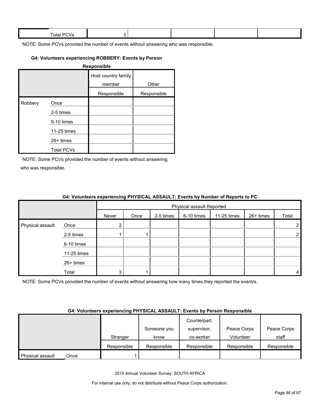| Total.<br>- 11<br>--- |  |  |  |
|-----------------------|--|--|--|
|                       |  |  |  |

#### **G4: Volunteers experiencing ROBBERY: Events by Person**

| <b>Responsible</b> |                   |                               |             |  |  |  |  |
|--------------------|-------------------|-------------------------------|-------------|--|--|--|--|
|                    |                   | Host country family<br>member | Other       |  |  |  |  |
|                    |                   | Responsible                   | Responsible |  |  |  |  |
| Robbery            | Once              |                               |             |  |  |  |  |
|                    | 2-5 times         |                               |             |  |  |  |  |
|                    | 6-10 times        |                               |             |  |  |  |  |
|                    | 11-25 times       |                               |             |  |  |  |  |
|                    | $26+$ times       |                               |             |  |  |  |  |
|                    | <b>Total PCVs</b> |                               |             |  |  |  |  |

NOTE: Some PCVs provided the number of events without answering who was responsible.

|                  |             | $\bullet$ in relative to the content of the state $\bullet$ in the state $\bullet$ in the state $\bullet$ in the state $\bullet$ in $\bullet$ |                           |           |            |             |           |                |  |
|------------------|-------------|-----------------------------------------------------------------------------------------------------------------------------------------------|---------------------------|-----------|------------|-------------|-----------|----------------|--|
|                  |             |                                                                                                                                               | Physical assault Reported |           |            |             |           |                |  |
|                  |             | Never                                                                                                                                         | Once                      | 2-5 times | 6-10 times | 11-25 times | 26+ times | Total          |  |
| Physical assault | Once        |                                                                                                                                               |                           |           |            |             |           | $\overline{2}$ |  |
|                  | 2-5 times   |                                                                                                                                               |                           |           |            |             |           | $\overline{2}$ |  |
|                  | 6-10 times  |                                                                                                                                               |                           |           |            |             |           |                |  |
|                  | 11-25 times |                                                                                                                                               |                           |           |            |             |           |                |  |
|                  | 26+ times   |                                                                                                                                               |                           |           |            |             |           |                |  |
|                  | Total       |                                                                                                                                               |                           |           |            |             |           | 4              |  |

#### **G4: Volunteers experiencing PHYSICAL ASSAULT: Events by Number of Reports to PC**

NOTE: Some PCVs provided the number of events without answering how many times they reported the event/s.

#### **G4: Volunteers experiencing PHYSICAL ASSAULT: Events by Person Responsible**

|                  |      |             |             | Counterpart, |             |             |
|------------------|------|-------------|-------------|--------------|-------------|-------------|
|                  |      |             | Someone you | supervisor,  | Peace Corps | Peace Corps |
|                  |      | Stranger    | know        | co-worker    | Volunteer   | staff       |
|                  |      | Responsible | Responsible | Responsible  | Responsible | Responsible |
| Physical assault | Once |             |             |              |             |             |

2010 Annual Volunteer Survey: SOUTH AFRICA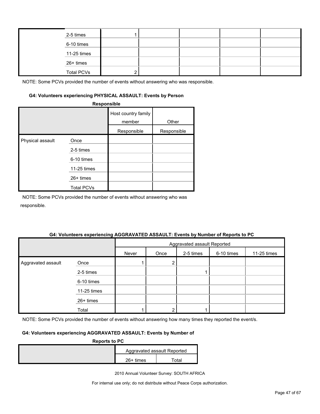| 2-5 times         |  |  |  |
|-------------------|--|--|--|
| 6-10 times        |  |  |  |
| 11-25 times       |  |  |  |
| 26+ times         |  |  |  |
| <b>Total PCVs</b> |  |  |  |

#### **G4: Volunteers experiencing PHYSICAL ASSAULT: Events by Person**

|                  | Responsible       |                               |             |
|------------------|-------------------|-------------------------------|-------------|
|                  |                   | Host country family<br>member | Other       |
|                  |                   | Responsible                   | Responsible |
| Physical assault | Once              |                               |             |
|                  | 2-5 times         |                               |             |
|                  | 6-10 times        |                               |             |
|                  | 11-25 times       |                               |             |
|                  | 26+ times         |                               |             |
|                  | <b>Total PCVs</b> |                               |             |

NOTE: Some PCVs provided the number of events without answering who was responsible.

#### **G4: Volunteers experiencing AGGRAVATED ASSAULT: Events by Number of Reports to PC**

|                    |             | Aggravated assault Reported |      |           |            |             |
|--------------------|-------------|-----------------------------|------|-----------|------------|-------------|
|                    |             | Never                       | Once | 2-5 times | 6-10 times | 11-25 times |
| Aggravated assault | Once        |                             | າ    |           |            |             |
|                    | 2-5 times   |                             |      |           |            |             |
|                    | 6-10 times  |                             |      |           |            |             |
|                    | 11-25 times |                             |      |           |            |             |
|                    | 26+ times   |                             |      |           |            |             |
|                    | Total       |                             |      |           |            |             |

NOTE: Some PCVs provided the number of events without answering how many times they reported the event/s.

### **G4: Volunteers experiencing AGGRAVATED ASSAULT: Events by Number of**

| <b>Reports to PC</b> |  |                             |  |  |  |  |
|----------------------|--|-----------------------------|--|--|--|--|
|                      |  | Aggravated assault Reported |  |  |  |  |
| $26+$ times<br>⊺otal |  |                             |  |  |  |  |

2010 Annual Volunteer Survey: SOUTH AFRICA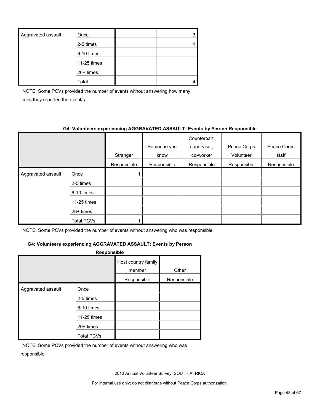| Aggravated assault | Once        |  |
|--------------------|-------------|--|
|                    | 2-5 times   |  |
|                    | 6-10 times  |  |
|                    | 11-25 times |  |
|                    | $26+$ times |  |
|                    | Total       |  |

NOTE: Some PCVs provided the number of events without answering how many times they reported the event/s.

#### **G4: Volunteers experiencing AGGRAVATED ASSAULT: Events by Person Responsible**

|                    |             | Stranger    | Someone you<br>know | Counterpart,<br>supervisor,<br>co-worker | Peace Corps<br>Volunteer | Peace Corps<br>staff |
|--------------------|-------------|-------------|---------------------|------------------------------------------|--------------------------|----------------------|
|                    |             | Responsible | Responsible         | Responsible                              | Responsible              | Responsible          |
| Aggravated assault | Once        |             |                     |                                          |                          |                      |
|                    | 2-5 times   |             |                     |                                          |                          |                      |
|                    | 6-10 times  |             |                     |                                          |                          |                      |
|                    | 11-25 times |             |                     |                                          |                          |                      |
|                    | $26+$ times |             |                     |                                          |                          |                      |
|                    | Total PCVs  |             |                     |                                          |                          |                      |

NOTE: Some PCVs provided the number of events without answering who was responsible.

## **G4: Volunteers experiencing AGGRAVATED ASSAULT: Events by Person**

| <b>Responsible</b> |                   |                               |             |  |  |  |  |
|--------------------|-------------------|-------------------------------|-------------|--|--|--|--|
|                    |                   | Host country family<br>member | Other       |  |  |  |  |
|                    |                   | Responsible                   | Responsible |  |  |  |  |
| Aggravated assault | Once              |                               |             |  |  |  |  |
|                    | 2-5 times         |                               |             |  |  |  |  |
|                    | 6-10 times        |                               |             |  |  |  |  |
|                    | 11-25 times       |                               |             |  |  |  |  |
|                    | $26+$ times       |                               |             |  |  |  |  |
|                    | <b>Total PCVs</b> |                               |             |  |  |  |  |

NOTE: Some PCVs provided the number of events without answering who was responsible.

2010 Annual Volunteer Survey: SOUTH AFRICA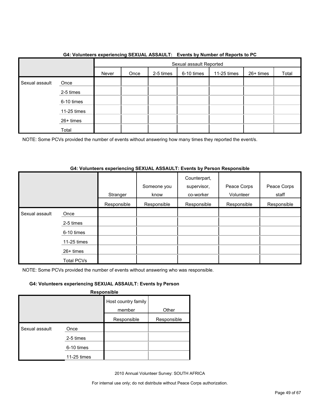|                |             |       | Sexual assault Reported |           |            |             |           |       |  |
|----------------|-------------|-------|-------------------------|-----------|------------|-------------|-----------|-------|--|
|                |             | Never | Once                    | 2-5 times | 6-10 times | 11-25 times | 26+ times | Total |  |
| Sexual assault | Once        |       |                         |           |            |             |           |       |  |
|                | 2-5 times   |       |                         |           |            |             |           |       |  |
|                | 6-10 times  |       |                         |           |            |             |           |       |  |
|                | 11-25 times |       |                         |           |            |             |           |       |  |
|                | 26+ times   |       |                         |           |            |             |           |       |  |
|                | Total       |       |                         |           |            |             |           |       |  |

#### **G4: Volunteers experiencing SEXUAL ASSAULT: Events by Number of Reports to PC**

NOTE: Some PCVs provided the number of events without answering how many times they reported the event/s.

#### **G4: Volunteers experiencing SEXUAL ASSAULT: Events by Person Responsible**

|                |                   | Stranger    | Someone you<br>know | Counterpart,<br>supervisor,<br>co-worker | Peace Corps<br>Volunteer | Peace Corps<br>staff |
|----------------|-------------------|-------------|---------------------|------------------------------------------|--------------------------|----------------------|
|                |                   | Responsible | Responsible         | Responsible                              | Responsible              | Responsible          |
| Sexual assault | Once              |             |                     |                                          |                          |                      |
|                | 2-5 times         |             |                     |                                          |                          |                      |
|                | 6-10 times        |             |                     |                                          |                          |                      |
|                | 11-25 times       |             |                     |                                          |                          |                      |
|                | 26+ times         |             |                     |                                          |                          |                      |
|                | <b>Total PCVs</b> |             |                     |                                          |                          |                      |

NOTE: Some PCVs provided the number of events without answering who was responsible.

### **G4: Volunteers experiencing SEXUAL ASSAULT: Events by Person**

**Responsible**

|                |             | Host country family |             |
|----------------|-------------|---------------------|-------------|
|                |             | member              | Other       |
|                |             | Responsible         | Responsible |
| Sexual assault | Once        |                     |             |
|                | 2-5 times   |                     |             |
|                | 6-10 times  |                     |             |
|                | 11-25 times |                     |             |

2010 Annual Volunteer Survey: SOUTH AFRICA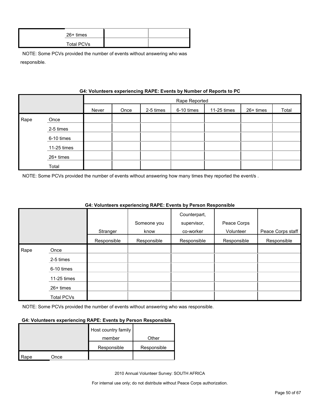| $26+$ times |  |
|-------------|--|
| Total PCVs  |  |

|      | G4: VOIUNTERS EXPERIENCING RAPE: EVENTS by NUMBER OF REPORTS TO PU |       |               |           |            |             |           |       |  |  |
|------|--------------------------------------------------------------------|-------|---------------|-----------|------------|-------------|-----------|-------|--|--|
|      |                                                                    |       | Rape Reported |           |            |             |           |       |  |  |
|      |                                                                    | Never | Once          | 2-5 times | 6-10 times | 11-25 times | 26+ times | Total |  |  |
| Rape | Once                                                               |       |               |           |            |             |           |       |  |  |
|      | 2-5 times                                                          |       |               |           |            |             |           |       |  |  |
|      | 6-10 times                                                         |       |               |           |            |             |           |       |  |  |
|      | 11-25 times                                                        |       |               |           |            |             |           |       |  |  |
|      | 26+ times                                                          |       |               |           |            |             |           |       |  |  |
|      | Total                                                              |       |               |           |            |             |           |       |  |  |

## **Gynorianoing PADE: Events by Number of Ban**

NOTE: Some PCVs provided the number of events without answering how many times they reported the event/s .

|      |                   |             |             | Counterpart, |             |                   |
|------|-------------------|-------------|-------------|--------------|-------------|-------------------|
|      |                   |             | Someone you | supervisor,  | Peace Corps |                   |
|      |                   | Stranger    | know        | co-worker    | Volunteer   | Peace Corps staff |
|      |                   | Responsible | Responsible | Responsible  | Responsible | Responsible       |
| Rape | Once              |             |             |              |             |                   |
|      | 2-5 times         |             |             |              |             |                   |
|      | 6-10 times        |             |             |              |             |                   |
|      | 11-25 times       |             |             |              |             |                   |
|      | $26+$ times       |             |             |              |             |                   |
|      | <b>Total PCVs</b> |             |             |              |             |                   |

## **G4: Volunteers experiencing RAPE: Events by Person Responsible**

NOTE: Some PCVs provided the number of events without answering who was responsible.

#### **G4: Volunteers experiencing RAPE: Events by Person Responsible**

|      |      | Host country family |             |
|------|------|---------------------|-------------|
|      |      | member              | Other       |
|      |      | Responsible         | Responsible |
| Rape | Once |                     |             |

2010 Annual Volunteer Survey: SOUTH AFRICA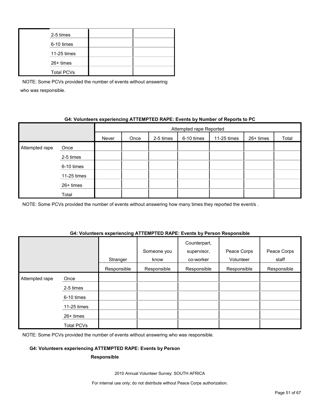| 2-5 times         |  |
|-------------------|--|
| 6-10 times        |  |
| 11-25 times       |  |
| 26+ times         |  |
| <b>Total PCVs</b> |  |

## **G4: Volunteers experiencing ATTEMPTED RAPE: Events by Number of Reports to PC**

|                |             |       | Attempted rape Reported |           |            |             |           |       |  |
|----------------|-------------|-------|-------------------------|-----------|------------|-------------|-----------|-------|--|
|                |             | Never | Once                    | 2-5 times | 6-10 times | 11-25 times | 26+ times | Total |  |
| Attempted rape | Once        |       |                         |           |            |             |           |       |  |
|                | 2-5 times   |       |                         |           |            |             |           |       |  |
|                | 6-10 times  |       |                         |           |            |             |           |       |  |
|                | 11-25 times |       |                         |           |            |             |           |       |  |
|                | 26+ times   |       |                         |           |            |             |           |       |  |
|                | Total       |       |                         |           |            |             |           |       |  |

NOTE: Some PCVs provided the number of events without answering how many times they reported the event/s.

#### **G4: Volunteers experiencing ATTEMPTED RAPE: Events by Person Responsible**

|                |                   | Stranger    | Someone you<br>know | Counterpart,<br>supervisor,<br>co-worker | Peace Corps<br>Volunteer | Peace Corps<br>staff |
|----------------|-------------------|-------------|---------------------|------------------------------------------|--------------------------|----------------------|
|                |                   | Responsible | Responsible         | Responsible                              | Responsible              | Responsible          |
| Attempted rape | Once              |             |                     |                                          |                          |                      |
|                | 2-5 times         |             |                     |                                          |                          |                      |
|                | 6-10 times        |             |                     |                                          |                          |                      |
|                | 11-25 times       |             |                     |                                          |                          |                      |
|                | 26+ times         |             |                     |                                          |                          |                      |
|                | <b>Total PCVs</b> |             |                     |                                          |                          |                      |

NOTE: Some PCVs provided the number of events without answering who was responsible.

#### **G4: Volunteers experiencing ATTEMPTED RAPE: Events by Person**

#### **Responsible**

2010 Annual Volunteer Survey: SOUTH AFRICA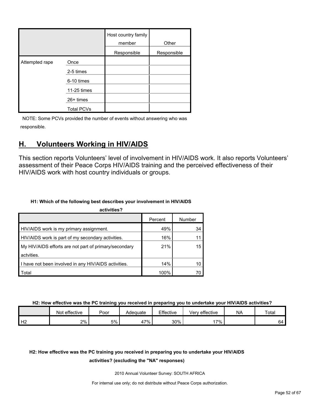|                |                   | Host country family<br>member | Other       |
|----------------|-------------------|-------------------------------|-------------|
|                |                   | Responsible                   | Responsible |
| Attempted rape | Once              |                               |             |
|                | 2-5 times         |                               |             |
|                | 6-10 times        |                               |             |
|                | 11-25 times       |                               |             |
|                | 26+ times         |                               |             |
|                | <b>Total PCVs</b> |                               |             |

## <span id="page-51-0"></span>**H. Volunteers Working in HIV/AIDS**

This section reports Volunteers' level of involvement in HIV/AIDS work. It also reports Volunteers' assessment of their Peace Corps HIV/AIDS training and the perceived effectiveness of their HIV/AIDS work with host country individuals or groups.

## **H1: Which of the following best describes your involvement in HIV/AIDS**

| activities?                                           |         |        |
|-------------------------------------------------------|---------|--------|
|                                                       | Percent | Number |
| HIV/AIDS work is my primary assignment.               | 49%     | 34     |
| HIV/AIDS work is part of my secondary activities.     | 16%     | 11     |
| My HIV/AIDS efforts are not part of primary/secondary | 21%     | 15     |
| actvities.                                            |         |        |
| I have not been involved in any HIV/AIDS activities.  | 14%     | 10     |
| Total                                                 | 100%    |        |

**H2: How effective was the PC training you received in preparing you to undertake your HIV/AIDS activities?**

|    | effective<br>Not | Poor | Adequate   | Effective | Very effective | <b>NA</b> | Total |
|----|------------------|------|------------|-----------|----------------|-----------|-------|
| Н2 | $2\%$            | 5%   | $7\%$<br>∸ | 30%       | 17%            |           | 64    |

## **H2: How effective was the PC training you received in preparing you to undertake your HIV/AIDS**

#### **activities? (excluding the "NA" responses)**

2010 Annual Volunteer Survey: SOUTH AFRICA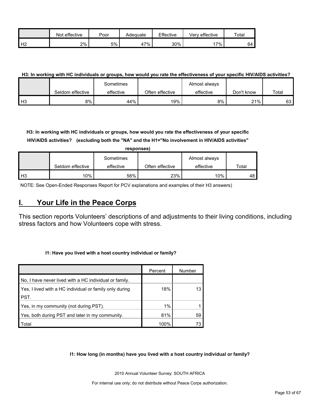|                | effective<br>Not | Poor | Adequate | Effective | Very effective | Total |
|----------------|------------------|------|----------|-----------|----------------|-------|
| H <sub>2</sub> | 2%               | 5%   | 17%      | 30%       | $.7\%$         | -64   |

#### **H3: In working with HC individuals or groups, how would you rate the effectiveness of your specific HIV/AIDS activities?**

|                |                  | Sometimes |                 | Almost always |            |       |
|----------------|------------------|-----------|-----------------|---------------|------------|-------|
|                | Seldom effective | effective | Often effective | effective     | Don't know | Total |
| H <sub>3</sub> | 8%               | 44%       | 19%             | 8%            | 21%        | 63 I  |

**H3: In working with HC individuals or groups, how would you rate the effectiveness of your specific HIV/AIDS activities? (excluding both the "NA" and the H1="No involvement in HIV/AIDS activities"** 

|                | responses)       |           |                 |               |       |  |  |  |  |  |
|----------------|------------------|-----------|-----------------|---------------|-------|--|--|--|--|--|
|                |                  | Sometimes |                 | Almost always |       |  |  |  |  |  |
|                | Seldom effective | effective | Often effective | effective     | Total |  |  |  |  |  |
| H <sub>3</sub> | 10%              | 56%       | 23%             | 10%           | 48    |  |  |  |  |  |

NOTE: See Open-Ended Responses Report for PCV explanations and examples of their H3 answers)

## <span id="page-52-0"></span>**I. Your Life in the Peace Corps**

This section reports Volunteers' descriptions of and adjustments to their living conditions, including stress factors and how Volunteers cope with stress.

#### **I1: Have you lived with a host country individual or family?**

|                                                         | Percent | Number |
|---------------------------------------------------------|---------|--------|
| No, I have never lived with a HC individual or family.  |         |        |
| Yes, I lived with a HC individual or family only during | 18%     |        |
| PST.                                                    |         |        |
| Yes, in my community (not during PST).                  | 1%      |        |
| Yes, both during PST and later in my community.         | 81%     | 59     |
| Total                                                   | 100%    |        |

#### **I1: How long (in months) have you lived with a host country individual or family?**

2010 Annual Volunteer Survey: SOUTH AFRICA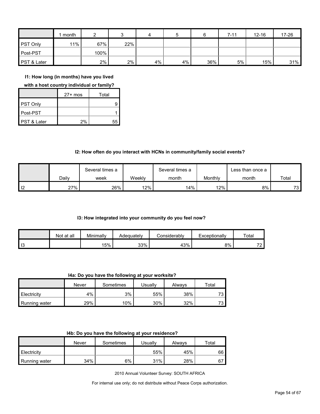|                        | month  | ◠     |       | 4  | 5  |     | $7 - 11$ | $12 - 16$ | 17-26 |
|------------------------|--------|-------|-------|----|----|-----|----------|-----------|-------|
| <b>PST Only</b>        | $11\%$ | 67%   | 22%   |    |    |     |          |           |       |
| Post-PST               |        | 100%  |       |    |    |     |          |           |       |
| <b>PST &amp; Later</b> |        | $2\%$ | $2\%$ | 4% | 4% | 36% | 5%       | 15%       | 31%   |

**I1: How long (in months) have you lived** 

**with a host country individual or family?**

|                        | $27+$ mos | Total |
|------------------------|-----------|-------|
| PST Only               |           |       |
| Post-PST               |           |       |
| <b>PST &amp; Later</b> | 2%        | 55    |

#### **I2: How often do you interact with HCNs in community/family social events?**

|                   |       | Several times a |        | Several times a |         | ∟ess than once a |       |
|-------------------|-------|-----------------|--------|-----------------|---------|------------------|-------|
|                   | Dailv | week            | Weekly | month           | Monthly | month            | Total |
| $\overline{1}$ 12 | 27%   | 26%             | 12%    | 14%             | 12%     | 8%               | 73    |

#### **I3: How integrated into your community do you feel now?**

|    | Not at all | Minimally | Adequatelv | :onsiderablv | Exceptionally | Total                                |
|----|------------|-----------|------------|--------------|---------------|--------------------------------------|
| 13 |            | 15%       | 33%        | 43%          | 8%            | $\overline{\phantom{a}}$<br><u>.</u> |

**I4a: Do you have the following at your worksite?**

|               | Never | Sometimes | Usuallv | Alwavs | Total |
|---------------|-------|-----------|---------|--------|-------|
| Electricity   | 4%    | 3%        | 55%     | 38%    | 70    |
| Running water | 29%   | $10\%$    | 30%     | 32%    | 70    |

|  |  | 14b: Do you have the following at your residence? |
|--|--|---------------------------------------------------|
|--|--|---------------------------------------------------|

|               | Never | Sometimes | Usuallv | Always | $\mathsf{^{To}tal}$ |
|---------------|-------|-----------|---------|--------|---------------------|
| Electricity   |       |           | 55%     | 45%    | 66                  |
| Running water | 34%   | 6%        | 31%     | 28%    | 67                  |

2010 Annual Volunteer Survey: SOUTH AFRICA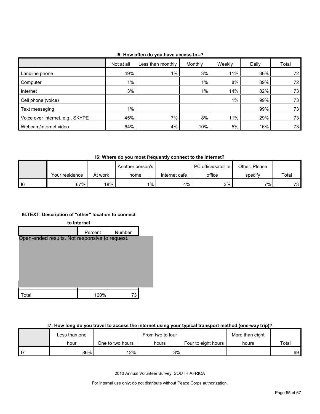| 15: How often do you have access to--? |  |
|----------------------------------------|--|
|----------------------------------------|--|

|                                  | Not at all | Less than monthly | Monthly | Weekly | Daily | Total           |
|----------------------------------|------------|-------------------|---------|--------|-------|-----------------|
| Landline phone                   | 49%        | $1\%$             | 3%      | $11\%$ | 36%   | 72              |
| Computer                         | $1\%$      |                   | $1\%$   | 8%     | 89%   | 72 <sub>1</sub> |
| Internet                         | 3%         |                   | $1\%$   | 14%    | 82%   | 73              |
| Cell phone (voice)               |            |                   |         | $1\%$  | 99%   | 73              |
| Text messaging                   | $1\%$      |                   |         |        | 99%   | 73              |
| Voice over internet, e.g., SKYPE | 45%        | 7%                | 8%      | 11%    | 29%   | 73              |
| Webcam/internet video            | 64%        | 4%                | 10%     | 5%     | 16%   | 73              |

**I6: Where do you most frequently connect to the Internet?**

|   |                |         | Another person's |               | PC office/satellite | Other: Please |                 |
|---|----------------|---------|------------------|---------------|---------------------|---------------|-----------------|
|   | Your residence | At work | home             | Internet cafe | office              | specify       | Total           |
| 6 | 67%            | 18%     | $1\%$            | 4%            | 3%                  | 7%            | 73 <sub>h</sub> |

## **I6.TEXT: Description of "other" location to connect**



## **I7: How long do you travel to access the internet using your typical transport method (one-way trip)?**

| Less than one |                  | From two to four |                     | More than eight |       |
|---------------|------------------|------------------|---------------------|-----------------|-------|
| hour          | One to two hours | hours            | Four to eight hours | hours           | Total |
| 86%           | $12\%$           | 3%               |                     |                 | 69 I  |

2010 Annual Volunteer Survey: SOUTH AFRICA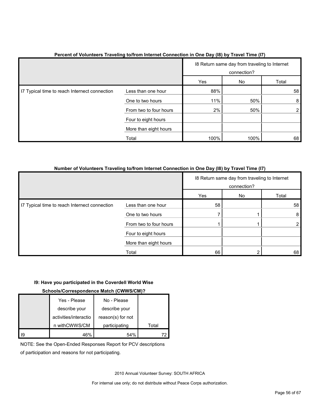|                                               |                        |      | 18 Return same day from traveling to Internet<br>connection? |       |  |
|-----------------------------------------------|------------------------|------|--------------------------------------------------------------|-------|--|
|                                               |                        | Yes  | No                                                           | Total |  |
| I7 Typical time to reach Internect connection | Less than one hour     | 88%  |                                                              | 58    |  |
|                                               | One to two hours       | 11%  | 50%                                                          | 8     |  |
|                                               | From two to four hours | 2%   | 50%                                                          |       |  |
|                                               | Four to eight hours    |      |                                                              |       |  |
|                                               | More than eight hours  |      |                                                              |       |  |
|                                               | Total                  | 100% | 100%                                                         | 68    |  |

## **Percent of Volunteers Traveling to/from Internet Connection in One Day (I8) by Travel Time (I7)**

#### **Number of Volunteers Traveling to/from Internet Connection in One Day (I8) by Travel Time (I7)**

|                                               |                        |     | 18 Return same day from traveling to Internet<br>connection? |       |  |
|-----------------------------------------------|------------------------|-----|--------------------------------------------------------------|-------|--|
|                                               |                        | Yes | No                                                           | Total |  |
| I7 Typical time to reach Internect connection | Less than one hour     | 58  |                                                              | 58    |  |
|                                               | One to two hours       |     |                                                              | 8     |  |
|                                               | From two to four hours |     |                                                              |       |  |
|                                               | Four to eight hours    |     |                                                              |       |  |
|                                               | More than eight hours  |     |                                                              |       |  |
|                                               | Total                  | 66  |                                                              | 68    |  |

#### **I9: Have you participated in the Coverdell World Wise**

#### **Schools/Correspondence Match (CWWS/CM)?**

|    | Yes - Please          | No - Please       |       |
|----|-----------------------|-------------------|-------|
|    | describe your         | describe your     |       |
|    | activities/interactio | reason(s) for not |       |
|    | n withCWWS/CM         | participating     | Total |
| 19 | 46%                   | 54%               |       |

NOTE: See the Open-Ended Responses Report for PCV descriptions

of participation and reasons for not participating.

2010 Annual Volunteer Survey: SOUTH AFRICA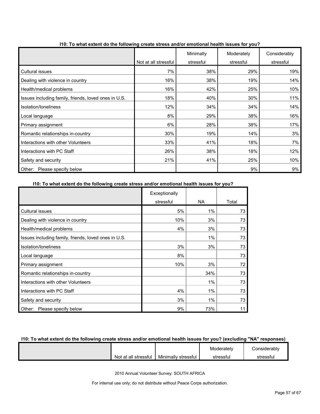|                                                      |                      | Minimally | Moderately | Considerably |
|------------------------------------------------------|----------------------|-----------|------------|--------------|
|                                                      | Not at all stressful | stressful | stressful  | stressful    |
| Cultural issues                                      | 7%                   | 38%       | 29%        | 19%          |
| Dealing with violence in country                     | 16%                  | 38%       | 19%        | 14%          |
| Health/medical problems                              | 16%                  | 42%       | 25%        | 10%          |
| Issues including family, friends, loved ones in U.S. | 18%                  | 40%       | 30%        | 11%          |
| Isolation/Ioneliness                                 | 12%                  | 34%       | 34%        | 14%          |
| Local language                                       | 8%                   | 29%       | 38%        | 16%          |
| Primary assignment                                   | 6%                   | 28%       | 38%        | 17%          |
| Romantic relationships in-country                    | 30%                  | 19%       | 14%        | 3%           |
| Interactions with other Volunteers                   | 33%                  | 41%       | 18%        | 7%           |
| Interactions with PC Staff                           | 26%                  | 38%       | 18%        | 12%          |
| Safety and security                                  | 21%                  | 41%       | 25%        | 10%          |
| Please specify below<br>Other:                       |                      |           | 9%         | 9%           |

**I10: To what extent do the following create stress and/or emotional health issues for you?**

#### **I10: To what extent do the following create stress and/or emotional health issues for you?**

|                                                      | Exceptionally |       |       |
|------------------------------------------------------|---------------|-------|-------|
|                                                      | stressful     | NA.   | Total |
| <b>Cultural issues</b>                               | 5%            | $1\%$ | 73    |
| Dealing with violence in country                     | 10%           | 3%    | 73    |
| Health/medical problems                              | 4%            | 3%    | 73    |
| Issues including family, friends, loved ones in U.S. |               | $1\%$ | 73    |
| Isolation/loneliness                                 | 3%            | 3%    | 73    |
| Local language                                       | 8%            |       | 73    |
| Primary assignment                                   | 10%           | 3%    | 72    |
| Romantic relationships in-country                    |               | 34%   | 73    |
| Interactions with other Volunteers                   |               | $1\%$ | 73    |
| Interactions with PC Staff                           | 4%            | $1\%$ | 73    |
| Safety and security                                  | 3%            | $1\%$ | 73    |
| Please specify below<br>Other:                       | 9%            | 73%   | 11    |

### **I10: To what extent do the following create stress and/or emotional health issues for you? (excluding "NA" responses)**

|                      |                     | Moderately | Considerablv |
|----------------------|---------------------|------------|--------------|
| Not at all stressful | Minimally stressful | stressfu   | stressful    |

2010 Annual Volunteer Survey: SOUTH AFRICA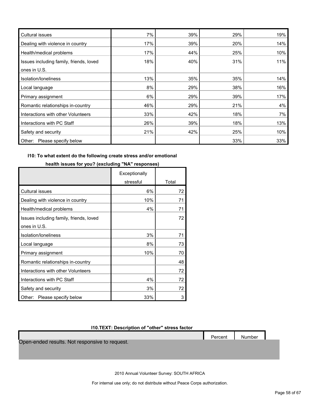| <b>Cultural issues</b>                  | 7%  | 39% | 29% | 19% |
|-----------------------------------------|-----|-----|-----|-----|
| Dealing with violence in country        | 17% | 39% | 20% | 14% |
| Health/medical problems                 | 17% | 44% | 25% | 10% |
| Issues including family, friends, loved | 18% | 40% | 31% | 11% |
| ones in U.S.                            |     |     |     |     |
| Isolation/Ioneliness                    | 13% | 35% | 35% | 14% |
| Local language                          | 8%  | 29% | 38% | 16% |
| Primary assignment                      | 6%  | 29% | 39% | 17% |
| Romantic relationships in-country       | 46% | 29% | 21% | 4%  |
| Interactions with other Volunteers      | 33% | 42% | 18% | 7%  |
| Interactions with PC Staff              | 26% | 39% | 18% | 13% |
| Safety and security                     | 21% | 42% | 25% | 10% |
| Other: Please specify below             |     |     | 33% | 33% |

#### **I10: To what extent do the following create stress and/or emotional**

## **health issues for you? (excluding "NA" responses)**

|                                         | Exceptionally |       |
|-----------------------------------------|---------------|-------|
|                                         | stressful     | Total |
| Cultural issues                         | 6%            | 72    |
| Dealing with violence in country        | 10%           | 71    |
| Health/medical problems                 | 4%            | 71    |
| Issues including family, friends, loved |               | 72    |
| ones in U.S.                            |               |       |
| Isolation/loneliness                    | 3%            | 71    |
| Local language                          | 8%            | 73    |
| Primary assignment                      | 10%           | 70    |
| Romantic relationships in-country       |               | 48    |
| Interactions with other Volunteers      |               | 72    |
| Interactions with PC Staff              | 4%            | 72    |
| Safety and security                     | 3%            | 72    |
| Please specify below<br>Other:          | 33%           | 3     |

## **I10.TEXT: Description of "other" stress factor**

Percent Number

Open-ended results. Not responsive to request.

2010 Annual Volunteer Survey: SOUTH AFRICA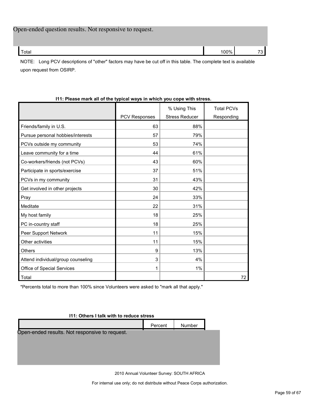| Total | Open-ended question results. Not responsive to request. |      |  |
|-------|---------------------------------------------------------|------|--|
|       |                                                         | 100% |  |

NOTE: Long PCV descriptions of "other" factors may have be cut off in this table. The complete text is available upon request from OSIRP.

|                                    |                      | % Using This          | <b>Total PCVs</b> |
|------------------------------------|----------------------|-----------------------|-------------------|
|                                    | <b>PCV Responses</b> | <b>Stress Reducer</b> | Responding        |
| Friends/family in U.S.             | 63                   | 88%                   |                   |
| Pursue personal hobbies/interests  | 57                   | 79%                   |                   |
| PCVs outside my community          | 53                   | 74%                   |                   |
| Leave community for a time         | 44                   | 61%                   |                   |
| Co-workers/friends (not PCVs)      | 43                   | 60%                   |                   |
| Participate in sports/exercise     | 37                   | 51%                   |                   |
| PCVs in my community               | 31                   | 43%                   |                   |
| Get involved in other projects     | 30                   | 42%                   |                   |
| Pray                               | 24                   | 33%                   |                   |
| Meditate                           | 22                   | 31%                   |                   |
| My host family                     | 18                   | 25%                   |                   |
| PC in-country staff                | 18                   | 25%                   |                   |
| Peer Support Network               | 11                   | 15%                   |                   |
| Other activities                   | 11                   | 15%                   |                   |
| <b>Others</b>                      | 9                    | 13%                   |                   |
| Attend individual/group counseling | 3                    | 4%                    |                   |
| Office of Special Services         | 1                    | 1%                    |                   |
| Total                              |                      |                       | 72                |

## **I11: Please mark all of the typical ways in which you cope with stress.**

\*Percents total to more than 100% since Volunteers were asked to "mark all that apply."

## **I11: Others I talk with to reduce stress**

|                                                | Percent | <b>Number</b> |  |  |  |  |
|------------------------------------------------|---------|---------------|--|--|--|--|
| Open-ended results. Not responsive to request. |         |               |  |  |  |  |
|                                                |         |               |  |  |  |  |
|                                                |         |               |  |  |  |  |
|                                                |         |               |  |  |  |  |
|                                                |         |               |  |  |  |  |

2010 Annual Volunteer Survey: SOUTH AFRICA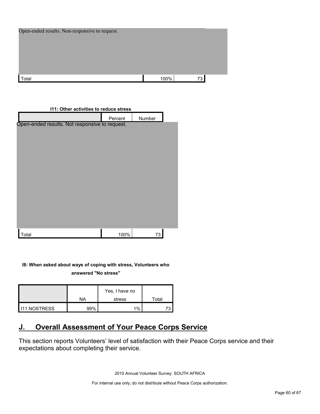| Open-ended results. Non-responsive to request. |      |    |
|------------------------------------------------|------|----|
|                                                |      |    |
|                                                |      |    |
|                                                |      |    |
| Total                                          | 100% | 73 |

| <b>111: Other activities to reduce stress</b>  |         |        |  |  |  |  |
|------------------------------------------------|---------|--------|--|--|--|--|
|                                                | Percent | Number |  |  |  |  |
| Open-ended results. Not responsive to request. |         |        |  |  |  |  |
|                                                |         |        |  |  |  |  |
|                                                |         |        |  |  |  |  |
|                                                |         |        |  |  |  |  |
|                                                |         |        |  |  |  |  |
|                                                |         |        |  |  |  |  |
|                                                |         |        |  |  |  |  |
|                                                |         |        |  |  |  |  |
|                                                |         |        |  |  |  |  |
|                                                |         |        |  |  |  |  |
|                                                |         |        |  |  |  |  |
|                                                |         |        |  |  |  |  |
|                                                |         |        |  |  |  |  |
| Total                                          | 100%    | 73     |  |  |  |  |

**I8: When asked about ways of coping with stress, Volunteers who** 

**answered "No stress"** 

|                     | ΝA  | Yes, I have no<br>stress | Total |
|---------------------|-----|--------------------------|-------|
| <b>I11.NOSTRESS</b> | 20% | $1\%$                    |       |

## <span id="page-59-0"></span>**J. Overall Assessment of Your Peace Corps Service**

This section reports Volunteers' level of satisfaction with their Peace Corps service and their expectations about completing their service.

2010 Annual Volunteer Survey: SOUTH AFRICA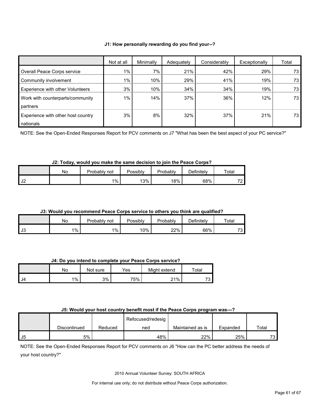#### **J1: How personally rewarding do you find your--?**

|                                         | Not at all | Minimally | Adequately | Considerably | Exceptionally | Total |
|-----------------------------------------|------------|-----------|------------|--------------|---------------|-------|
| Overall Peace Corps service             | $1\%$      | 7%        | 21%        | 42%          | 29%           | 73    |
| Community involvement                   | $1\%$      | 10%       | 29%        | 41%          | 19%           | 73    |
| <b>Experience with other Volunteers</b> | 3%         | 10%       | 34%        | 34%          | 19%           | 73    |
| Work with counterparts/community        | $1\%$      | 14%       | 37%        | 36%          | 12%           | 73    |
| <b>partners</b>                         |            |           |            |              |               |       |
| Experience with other host country      | 3%         | 8%        | 32%        | 37%          | 21%           | 73    |
| nationals                               |            |           |            |              |               |       |

NOTE: See the Open-Ended Responses Report for PCV comments on J7 "What has been the best aspect of your PC service?"

#### **J2: Today, would you make the same decision to join the Peace Corps?**

|             | Nο | Probably not | Possibly | Probably | ⊃efinitelv | Total |
|-------------|----|--------------|----------|----------|------------|-------|
| 112<br>∠∪ ا |    | 1%           | 13%      | 18%      | 68%        | 70    |

#### **J3: Would you recommend Peace Corps service to others you think are qualified?**

|    | No      | Probably,<br>not | Possibly | Probably | Definitely | Total |
|----|---------|------------------|----------|----------|------------|-------|
| J3 | $1\%$ , | $1\%$            | 10%      | 22%      | 66%        | 73    |

**J4: Do you intend to complete your Peace Corps service?**

|    | No    | Not sure | Yes | Might extend | Total                          |
|----|-------|----------|-----|--------------|--------------------------------|
| J4 | $1\%$ | 3%       | 75% | 21%          | 70<br>$\overline{\phantom{a}}$ |

#### **J5: Would your host country benefit most if the Peace Corps program was---?**

|      |              |         | Refocused/redesig |                  |          |                  |
|------|--------------|---------|-------------------|------------------|----------|------------------|
|      | Discontinued | Reduced | ned               | Maintained as is | Expanded | Total            |
| . J5 | 5%           |         | 48%               | 22%              | 25%      | <b>72.</b><br>ັບ |

NOTE: See the Open-Ended Responses Report for PCV comments on J6 "How can the PC better address the needs of your host country?"

2010 Annual Volunteer Survey: SOUTH AFRICA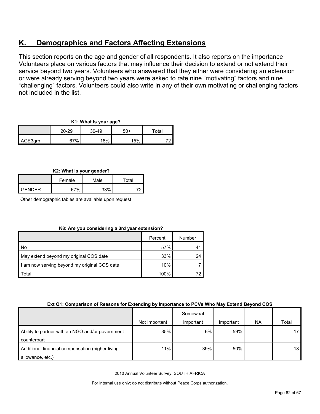## <span id="page-61-0"></span>**K. Demographics and Factors Affecting Extensions**

This section reports on the age and gender of all respondents. It also reports on the importance Volunteers place on various factors that may influence their decision to extend or not extend their service beyond two years. Volunteers who answered that they either were considering an extension or were already serving beyond two years were asked to rate nine "motivating" factors and nine "challenging" factors. Volunteers could also write in any of their own motivating or challenging factors not included in the list.

| K1: What is your age? |
|-----------------------|
|-----------------------|

|         |       |       | . .   |             |
|---------|-------|-------|-------|-------------|
|         | 20-29 | 30-49 | $50+$ | $\tau$ otal |
| AGE3grp | 67%   | 18%   | 15%   |             |

## **K2: What is your gender?**

|                | Female     | Male | Total |  |
|----------------|------------|------|-------|--|
| <b>LGENDER</b> | <b>37%</b> | 33%  |       |  |

Other demographic tables are available upon request

|  |  | K8: Are you considering a 3rd year extension? |
|--|--|-----------------------------------------------|
|  |  |                                               |

|                                              | Percent | Number |
|----------------------------------------------|---------|--------|
| No                                           | 57%     |        |
| May extend beyond my original COS date       | 33%     | 24     |
| I am now serving beyond my original COS date | 10%     |        |
| Total                                        | 100%    |        |

#### **Ext Q1: Comparison of Reasons for Extending by Importance to PCVs Who May Extend Beyond COS**

|                                                                      | Not Important | Somewhat<br>important | Important | <b>NA</b> | Total |
|----------------------------------------------------------------------|---------------|-----------------------|-----------|-----------|-------|
| Ability to partner with an NGO and/or government<br>counterpart      | 35%           | 6%                    | 59%       |           |       |
| Additional financial compensation (higher living<br>allowance, etc.) | 11%           | 39%                   | 50%       |           | 18    |

2010 Annual Volunteer Survey: SOUTH AFRICA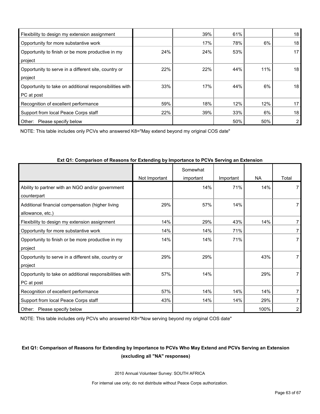| Flexibility to design my extension assignment           |     | 39% | 61% |     | 18 |
|---------------------------------------------------------|-----|-----|-----|-----|----|
| Opportunity for more substantive work                   |     | 17% | 78% | 6%  | 18 |
| Opportunity to finish or be more productive in my       | 24% | 24% | 53% |     | 17 |
| project                                                 |     |     |     |     |    |
| Opportunity to serve in a different site, country or    | 22% | 22% | 44% | 11% | 18 |
| project                                                 |     |     |     |     |    |
| Opportunity to take on additional responsibilities with | 33% | 17% | 44% | 6%  | 18 |
| PC at post                                              |     |     |     |     |    |
| Recognition of excellent performance                    | 59% | 18% | 12% | 12% | 17 |
| Support from local Peace Corps staff                    | 22% | 39% | 33% | 6%  | 18 |
| Other:<br>Please specify below                          |     |     | 50% | 50% |    |

NOTE: This table includes only PCVs who answered K8="May extend beyond my original COS date"

|                                                                       | Not Important | Somewhat<br>important | Important | NA   | Total          |
|-----------------------------------------------------------------------|---------------|-----------------------|-----------|------|----------------|
| Ability to partner with an NGO and/or government<br>counterpart       |               | 14%                   | 71%       | 14%  | 7              |
| Additional financial compensation (higher living<br>allowance, etc.)  | 29%           | 57%                   | 14%       |      | 7              |
| Flexibility to design my extension assignment                         | 14%           | 29%                   | 43%       | 14%  | 7              |
| Opportunity for more substantive work                                 | 14%           | 14%                   | 71%       |      | 7              |
| Opportunity to finish or be more productive in my<br>project          | 14%           | 14%                   | 71%       |      | 7              |
| Opportunity to serve in a different site, country or<br>project       | 29%           | 29%                   |           | 43%  | $\overline{7}$ |
| Opportunity to take on additional responsibilities with<br>PC at post | 57%           | 14%                   |           | 29%  | $\overline{7}$ |
| Recognition of excellent performance                                  | 57%           | 14%                   | 14%       | 14%  | 7              |
| Support from local Peace Corps staff                                  | 43%           | 14%                   | 14%       | 29%  | 7              |
| Please specify below<br>Other:                                        |               |                       |           | 100% | 2              |

#### **Ext Q1: Comparison of Reasons for Extending by Importance to PCVs Serving an Extension**

NOTE: This table includes only PCVs who answered K8="Now serving beyond my original COS date"

## **Ext Q1: Comparison of Reasons for Extending by Importance to PCVs Who May Extend and PCVs Serving an Extension (excluding all "NA" responses)**

2010 Annual Volunteer Survey: SOUTH AFRICA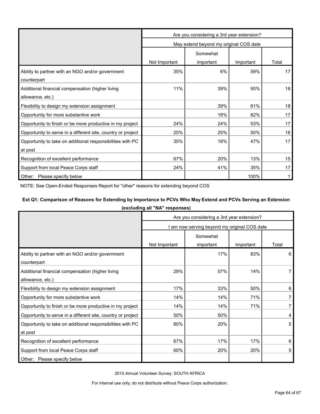|                                                              | Are you considering a 3rd year extension?        |                                        |      |    |  |  |
|--------------------------------------------------------------|--------------------------------------------------|----------------------------------------|------|----|--|--|
|                                                              |                                                  | May extend beyond my original COS date |      |    |  |  |
|                                                              | Somewhat                                         |                                        |      |    |  |  |
|                                                              | Not Important<br>Total<br>important<br>Important |                                        |      |    |  |  |
| Ability to partner with an NGO and/or government             | 35%                                              | 6%                                     | 59%  | 17 |  |  |
| counterpart                                                  |                                                  |                                        |      |    |  |  |
| Additional financial compensation (higher living             | 11%                                              | 39%                                    | 50%  | 18 |  |  |
| allowance, etc.)                                             |                                                  |                                        |      |    |  |  |
| Flexibility to design my extension assignment                |                                                  | 39%                                    | 61%  | 18 |  |  |
| Opportunity for more substantive work                        |                                                  | 18%                                    | 82%  | 17 |  |  |
| Opportunity to finish or be more productive in my project    | 24%                                              | 24%                                    | 53%  | 17 |  |  |
| Opportunity to serve in a different site, country or project | 25%                                              | 25%                                    | 50%  | 16 |  |  |
| Opportunity to take on additional responsibilities with PC   | 35%                                              | 18%                                    | 47%  | 17 |  |  |
| at post                                                      |                                                  |                                        |      |    |  |  |
| Recognition of excellent performance                         | 67%                                              | 20%                                    | 13%  | 15 |  |  |
| Support from local Peace Corps staff                         | 24%                                              | 41%                                    | 35%  | 17 |  |  |
| Other: Please specify below                                  |                                                  |                                        | 100% |    |  |  |

NOTE: See Open-Ended Responses Report for "other" reasons for extending beyond COS

## **Ext Q1: Comparison of Reasons for Extending by Importance to PCVs Who May Extend and PCVs Serving an Extension**

| (excluding all "NA" responses) |  |  |  |
|--------------------------------|--|--|--|
|--------------------------------|--|--|--|

|                                                              | Are you considering a 3rd year extension?    |           |           |       |  |
|--------------------------------------------------------------|----------------------------------------------|-----------|-----------|-------|--|
|                                                              | I am now serving beyond my original COS date |           |           |       |  |
|                                                              | Somewhat                                     |           |           |       |  |
|                                                              | Not Important                                | important | Important | Total |  |
| Ability to partner with an NGO and/or government             |                                              | 17%       | 83%       | 6     |  |
| counterpart                                                  |                                              |           |           |       |  |
| Additional financial compensation (higher living             | 29%                                          | 57%       | 14%       |       |  |
| allowance, etc.)                                             |                                              |           |           |       |  |
| Flexibility to design my extension assignment                | 17%                                          | 33%       | 50%       | 6     |  |
| Opportunity for more substantive work                        | 14%                                          | 14%       | 71%       |       |  |
| Opportunity to finish or be more productive in my project    | 14%                                          | 14%       | 71%       | 7     |  |
| Opportunity to serve in a different site, country or project | 50%                                          | 50%       |           | 4     |  |
| Opportunity to take on additional responsibilities with PC   | 80%                                          | 20%       |           | 5     |  |
| at post                                                      |                                              |           |           |       |  |
| Recognition of excellent performance                         | 67%                                          | 17%       | 17%       | 6     |  |
| Support from local Peace Corps staff                         | 60%                                          | 20%       | 20%       | 5     |  |
| Other: Please specify below                                  |                                              |           |           |       |  |

2010 Annual Volunteer Survey: SOUTH AFRICA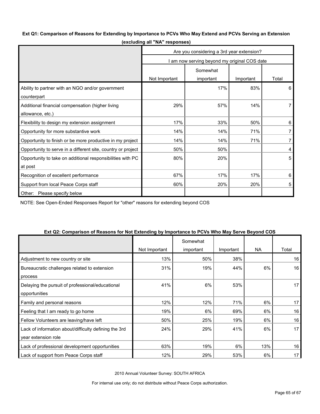#### **Ext Q1: Comparison of Reasons for Extending by Importance to PCVs Who May Extend and PCVs Serving an Extension**

|                                                              | Are you considering a 3rd year extension?  |           |           |                |  |
|--------------------------------------------------------------|--------------------------------------------|-----------|-----------|----------------|--|
|                                                              | am now serving beyond my original COS date |           |           |                |  |
|                                                              | Somewhat                                   |           |           |                |  |
|                                                              | Not Important                              | important | Important | Total          |  |
| Ability to partner with an NGO and/or government             |                                            | 17%       | 83%       | 6              |  |
| counterpart                                                  |                                            |           |           |                |  |
| Additional financial compensation (higher living             | 29%                                        | 57%       | 14%       | 7              |  |
| allowance, etc.)                                             |                                            |           |           |                |  |
| Flexibility to design my extension assignment                | 17%                                        | 33%       | 50%       | 6              |  |
| Opportunity for more substantive work                        | 14%                                        | 14%       | 71%       | $\overline{7}$ |  |
| Opportunity to finish or be more productive in my project    | 14%                                        | 14%       | 71%       | $\overline{7}$ |  |
| Opportunity to serve in a different site, country or project | 50%                                        | 50%       |           | 4              |  |
| Opportunity to take on additional responsibilities with PC   | 80%                                        | 20%       |           | 5              |  |
| at post                                                      |                                            |           |           |                |  |
| Recognition of excellent performance                         | 67%                                        | 17%       | 17%       | 6              |  |
| Support from local Peace Corps staff                         | 60%                                        | 20%       | 20%       | 5              |  |
| Other: Please specify below                                  |                                            |           |           |                |  |

**(excluding all "NA" responses)**

NOTE: See Open-Ended Responses Report for "other" reasons for extending beyond COS

| LAT QUE OUTIQUISUITUI REQSUIIS IUI NUI LAIENUNIG DYNINDI IQNUE IU I OYS YYNU MAY OEI YE DEYUNU OOO |               | Somewhat  |           |           |       |
|----------------------------------------------------------------------------------------------------|---------------|-----------|-----------|-----------|-------|
|                                                                                                    | Not Important | important | Important | <b>NA</b> | Total |
| Adjustment to new country or site                                                                  | 13%           | 50%       | 38%       |           | 16    |
| Bureaucratic challenges related to extension                                                       | 31%           | 19%       | 44%       | 6%        | 16    |
| process                                                                                            |               |           |           |           |       |
| Delaying the pursuit of professional/educational                                                   | 41%           | 6%        | 53%       |           | 17    |
| opportunities                                                                                      |               |           |           |           |       |
| Family and personal reasons                                                                        | 12%           | 12%       | 71%       | 6%        | 17    |
| Feeling that I am ready to go home                                                                 | 19%           | 6%        | 69%       | 6%        | 16    |
| Fellow Volunteers are leaving/have left                                                            | 50%           | 25%       | 19%       | 6%        | 16    |
| Lack of information about/difficulty defining the 3rd                                              | 24%           | 29%       | 41%       | 6%        | 17    |
| year extension role                                                                                |               |           |           |           |       |
| Lack of professional development opportunities                                                     | 63%           | 19%       | 6%        | 13%       | 16    |
| Lack of support from Peace Corps staff                                                             | 12%           | 29%       | 53%       | 6%        | 17    |

#### **Ext Q2: Comparison of Reasons for Not Extending by Importance to PCVs Who May Serve Beyond COS**

2010 Annual Volunteer Survey: SOUTH AFRICA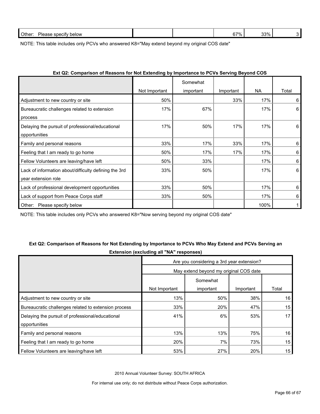| Other:<br>Pleas.<br>ase specity<br>below |  | $37\%$ | 33% |  |
|------------------------------------------|--|--------|-----|--|
|                                          |  |        |     |  |

NOTE: This table includes only PCVs who answered K8="May extend beyond my original COS date"

| LAT QL. OUITPOLISUL ULINEGSULS TULTIOL LATERIURING BY IMPORTANCE TULL OVS OEI VING DEYUNG OOD |               | Somewhat  |           |      |       |
|-----------------------------------------------------------------------------------------------|---------------|-----------|-----------|------|-------|
|                                                                                               | Not Important | important | Important | NA.  | Total |
| Adjustment to new country or site                                                             | 50%           |           | 33%       | 17%  | 6     |
| Bureaucratic challenges related to extension                                                  | 17%           | 67%       |           | 17%  | 6     |
| process                                                                                       |               |           |           |      |       |
| Delaying the pursuit of professional/educational                                              | 17%           | 50%       | 17%       | 17%  | 6     |
| opportunities                                                                                 |               |           |           |      |       |
| Family and personal reasons                                                                   | 33%           | 17%       | 33%       | 17%  | 6     |
| Feeling that I am ready to go home                                                            | 50%           | 17%       | 17%       | 17%  | 6     |
| Fellow Volunteers are leaving/have left                                                       | 50%           | 33%       |           | 17%  | 6     |
| Lack of information about/difficulty defining the 3rd                                         | 33%           | 50%       |           | 17%  | 6     |
| year extension role                                                                           |               |           |           |      |       |
| Lack of professional development opportunities                                                | 33%           | 50%       |           | 17%  | 6     |
| Lack of support from Peace Corps staff                                                        | 33%           | 50%       |           | 17%  | 6     |
| Please specify below<br>Other:                                                                |               |           |           | 100% |       |

## **Ext Q2: Comparison of Reasons for Not Extending by Importance to PCVs Serving Beyond COS**

NOTE: This table includes only PCVs who answered K8="Now serving beyond my original COS date"

## **Ext Q2: Comparison of Reasons for Not Extending by Importance to PCVs Who May Extend and PCVs Serving an Extension (excluding all "NA" responses)**

|                                                      | Are you considering a 3rd year extension? |           |           |       |  |  |
|------------------------------------------------------|-------------------------------------------|-----------|-----------|-------|--|--|
|                                                      | May extend beyond my original COS date    |           |           |       |  |  |
|                                                      | Somewhat                                  |           |           |       |  |  |
|                                                      | Not Important                             | important | Important | Total |  |  |
| Adjustment to new country or site                    | 13%                                       | 50%       | 38%       | 16    |  |  |
| Bureaucratic challenges related to extension process | 33%                                       | 20%       | 47%       | 15    |  |  |
| Delaying the pursuit of professional/educational     | 41%                                       | 6%        | 53%       | 17    |  |  |
| opportunities                                        |                                           |           |           |       |  |  |
| Family and personal reasons                          | 13%                                       | 13%       | 75%       | 16    |  |  |
| Feeling that I am ready to go home                   | 20%                                       | 7%        | 73%       | 15    |  |  |
| Fellow Volunteers are leaving/have left              | 53%                                       | 27%       | 20%       | 15    |  |  |

2010 Annual Volunteer Survey: SOUTH AFRICA